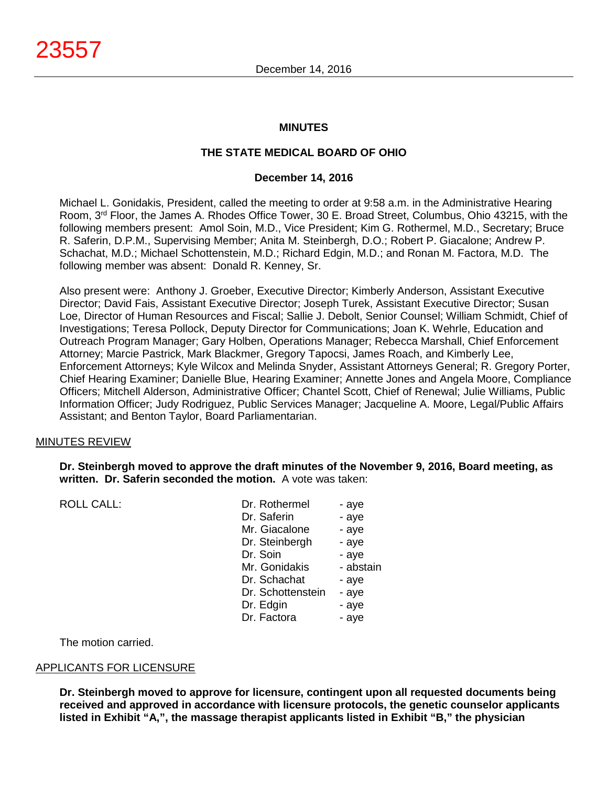## **MINUTES**

## **THE STATE MEDICAL BOARD OF OHIO**

#### **December 14, 2016**

Michael L. Gonidakis, President, called the meeting to order at 9:58 a.m. in the Administrative Hearing Room, 3rd Floor, the James A. Rhodes Office Tower, 30 E. Broad Street, Columbus, Ohio 43215, with the following members present: Amol Soin, M.D., Vice President; Kim G. Rothermel, M.D., Secretary; Bruce R. Saferin, D.P.M., Supervising Member; Anita M. Steinbergh, D.O.; Robert P. Giacalone; Andrew P. Schachat, M.D.; Michael Schottenstein, M.D.; Richard Edgin, M.D.; and Ronan M. Factora, M.D. The following member was absent: Donald R. Kenney, Sr.

Also present were: Anthony J. Groeber, Executive Director; Kimberly Anderson, Assistant Executive Director; David Fais, Assistant Executive Director; Joseph Turek, Assistant Executive Director; Susan Loe, Director of Human Resources and Fiscal; Sallie J. Debolt, Senior Counsel; William Schmidt, Chief of Investigations; Teresa Pollock, Deputy Director for Communications; Joan K. Wehrle, Education and Outreach Program Manager; Gary Holben, Operations Manager; Rebecca Marshall, Chief Enforcement Attorney; Marcie Pastrick, Mark Blackmer, Gregory Tapocsi, James Roach, and Kimberly Lee, Enforcement Attorneys; Kyle Wilcox and Melinda Snyder, Assistant Attorneys General; R. Gregory Porter, Chief Hearing Examiner; Danielle Blue, Hearing Examiner; Annette Jones and Angela Moore, Compliance Officers; Mitchell Alderson, Administrative Officer; Chantel Scott, Chief of Renewal; Julie Williams, Public Information Officer; Judy Rodriguez, Public Services Manager; Jacqueline A. Moore, Legal/Public Affairs Assistant; and Benton Taylor, Board Parliamentarian.

#### MINUTES REVIEW

**Dr. Steinbergh moved to approve the draft minutes of the November 9, 2016, Board meeting, as written. Dr. Saferin seconded the motion.** A vote was taken:

| <b>ROLL CALL:</b> | Dr. Rothermel     | - aye     |
|-------------------|-------------------|-----------|
|                   | Dr. Saferin       | - aye     |
|                   | Mr. Giacalone     | - aye     |
|                   | Dr. Steinbergh    | - aye     |
|                   | Dr. Soin          | - aye     |
|                   | Mr. Gonidakis     | - abstain |
|                   | Dr. Schachat      | - aye     |
|                   | Dr. Schottenstein | - aye     |
|                   | Dr. Edgin         | - aye     |
|                   | Dr. Factora       | - aye     |
|                   |                   |           |

## The motion carried.

## APPLICANTS FOR LICENSURE

**Dr. Steinbergh moved to approve for licensure, contingent upon all requested documents being received and approved in accordance with licensure protocols, the genetic counselor applicants listed in Exhibit "A,", the massage therapist applicants listed in Exhibit "B," the physician**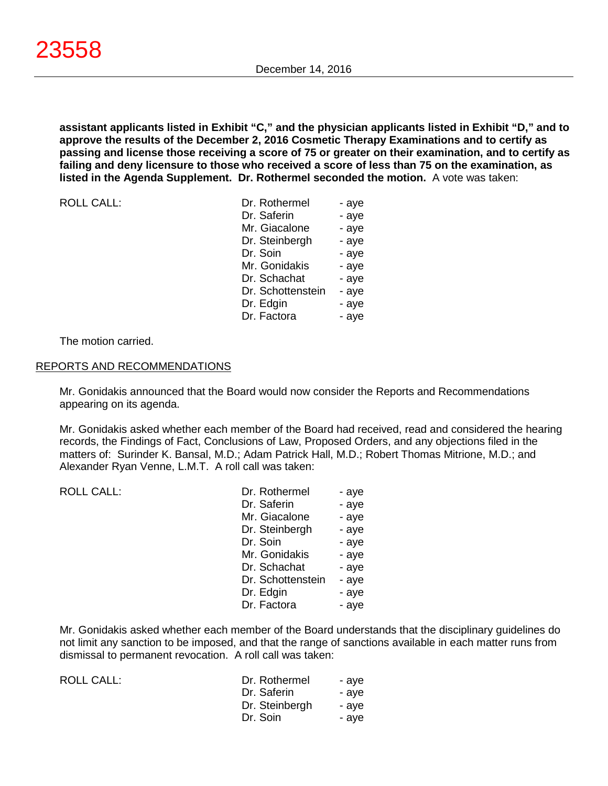**assistant applicants listed in Exhibit "C," and the physician applicants listed in Exhibit "D," and to approve the results of the December 2, 2016 Cosmetic Therapy Examinations and to certify as passing and license those receiving a score of 75 or greater on their examination, and to certify as failing and deny licensure to those who received a score of less than 75 on the examination, as listed in the Agenda Supplement. Dr. Rothermel seconded the motion.** A vote was taken:

| <b>ROLL CALL:</b> |  |
|-------------------|--|
|-------------------|--|

| <b>ROLL CALL:</b> | Dr. Rothermel     | - aye |
|-------------------|-------------------|-------|
|                   | Dr. Saferin       | - aye |
|                   | Mr. Giacalone     | - aye |
|                   | Dr. Steinbergh    | - aye |
|                   | Dr. Soin          | - aye |
|                   | Mr. Gonidakis     | - aye |
|                   | Dr. Schachat      | - aye |
|                   | Dr. Schottenstein | - aye |
|                   | Dr. Edgin         | - aye |
|                   | Dr. Factora       | - aye |
|                   |                   |       |

The motion carried.

#### REPORTS AND RECOMMENDATIONS

Mr. Gonidakis announced that the Board would now consider the Reports and Recommendations appearing on its agenda.

Mr. Gonidakis asked whether each member of the Board had received, read and considered the hearing records, the Findings of Fact, Conclusions of Law, Proposed Orders, and any objections filed in the matters of: Surinder K. Bansal, M.D.; Adam Patrick Hall, M.D.; Robert Thomas Mitrione, M.D.; and Alexander Ryan Venne, L.M.T. A roll call was taken:

ROLL CALL:

| Dr. Rothermel     | - aye |
|-------------------|-------|
| Dr. Saferin       | - aye |
| Mr. Giacalone     | - aye |
| Dr. Steinbergh    | - aye |
| Dr. Soin          | - aye |
| Mr. Gonidakis     | - aye |
| Dr. Schachat      | - aye |
| Dr. Schottenstein | - aye |
| Dr. Edgin         | - aye |
| Dr. Factora       | - aye |

Mr. Gonidakis asked whether each member of the Board understands that the disciplinary guidelines do not limit any sanction to be imposed, and that the range of sanctions available in each matter runs from dismissal to permanent revocation. A roll call was taken:

| ROLL CALL: | Dr. Rothermel  | - ave |
|------------|----------------|-------|
|            | Dr. Saferin    | - ave |
|            | Dr. Steinbergh | - ave |
|            | Dr. Soin       | - ave |
|            |                |       |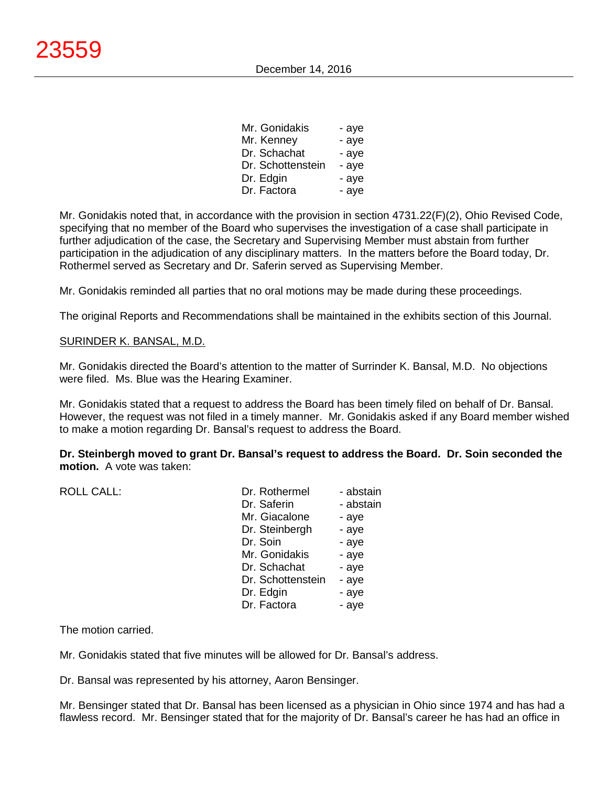| Mr. Gonidakis     | - aye |
|-------------------|-------|
| Mr. Kenney        | - aye |
| Dr. Schachat      | - aye |
| Dr. Schottenstein | - aye |
| Dr. Edgin         | - aye |
| Dr. Factora       | - aye |

Mr. Gonidakis noted that, in accordance with the provision in section 4731.22(F)(2), Ohio Revised Code, specifying that no member of the Board who supervises the investigation of a case shall participate in further adjudication of the case, the Secretary and Supervising Member must abstain from further participation in the adjudication of any disciplinary matters. In the matters before the Board today, Dr. Rothermel served as Secretary and Dr. Saferin served as Supervising Member.

Mr. Gonidakis reminded all parties that no oral motions may be made during these proceedings.

The original Reports and Recommendations shall be maintained in the exhibits section of this Journal.

## SURINDER K. BANSAL, M.D.

Mr. Gonidakis directed the Board's attention to the matter of Surrinder K. Bansal, M.D. No objections were filed. Ms. Blue was the Hearing Examiner.

Mr. Gonidakis stated that a request to address the Board has been timely filed on behalf of Dr. Bansal. However, the request was not filed in a timely manner. Mr. Gonidakis asked if any Board member wished to make a motion regarding Dr. Bansal's request to address the Board.

**Dr. Steinbergh moved to grant Dr. Bansal's request to address the Board. Dr. Soin seconded the motion.** A vote was taken:

| <b>ROLL CALL:</b> | Dr. Rothermel     | - abstain |
|-------------------|-------------------|-----------|
|                   | Dr. Saferin       | - abstain |
|                   | Mr. Giacalone     | - aye     |
|                   | Dr. Steinbergh    | - aye     |
|                   | Dr. Soin          | - aye     |
|                   | Mr. Gonidakis     | - aye     |
|                   | Dr. Schachat      | - aye     |
|                   | Dr. Schottenstein | - aye     |
|                   | Dr. Edgin         | - aye     |
|                   | Dr. Factora       | - aye     |
|                   |                   |           |

The motion carried.

Mr. Gonidakis stated that five minutes will be allowed for Dr. Bansal's address.

Dr. Bansal was represented by his attorney, Aaron Bensinger.

Mr. Bensinger stated that Dr. Bansal has been licensed as a physician in Ohio since 1974 and has had a flawless record. Mr. Bensinger stated that for the majority of Dr. Bansal's career he has had an office in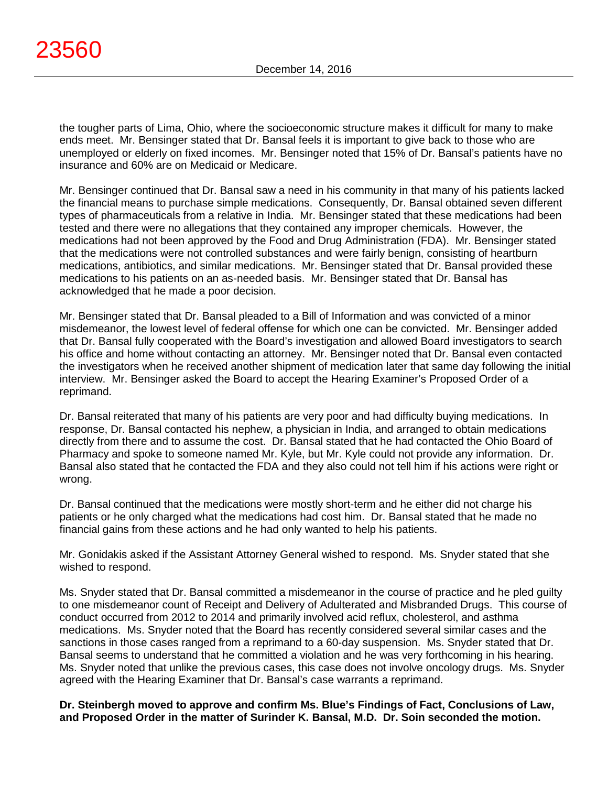the tougher parts of Lima, Ohio, where the socioeconomic structure makes it difficult for many to make ends meet. Mr. Bensinger stated that Dr. Bansal feels it is important to give back to those who are unemployed or elderly on fixed incomes. Mr. Bensinger noted that 15% of Dr. Bansal's patients have no insurance and 60% are on Medicaid or Medicare.

Mr. Bensinger continued that Dr. Bansal saw a need in his community in that many of his patients lacked the financial means to purchase simple medications. Consequently, Dr. Bansal obtained seven different types of pharmaceuticals from a relative in India. Mr. Bensinger stated that these medications had been tested and there were no allegations that they contained any improper chemicals. However, the medications had not been approved by the Food and Drug Administration (FDA). Mr. Bensinger stated that the medications were not controlled substances and were fairly benign, consisting of heartburn medications, antibiotics, and similar medications. Mr. Bensinger stated that Dr. Bansal provided these medications to his patients on an as-needed basis. Mr. Bensinger stated that Dr. Bansal has acknowledged that he made a poor decision.

Mr. Bensinger stated that Dr. Bansal pleaded to a Bill of Information and was convicted of a minor misdemeanor, the lowest level of federal offense for which one can be convicted. Mr. Bensinger added that Dr. Bansal fully cooperated with the Board's investigation and allowed Board investigators to search his office and home without contacting an attorney. Mr. Bensinger noted that Dr. Bansal even contacted the investigators when he received another shipment of medication later that same day following the initial interview. Mr. Bensinger asked the Board to accept the Hearing Examiner's Proposed Order of a reprimand.

Dr. Bansal reiterated that many of his patients are very poor and had difficulty buying medications. In response, Dr. Bansal contacted his nephew, a physician in India, and arranged to obtain medications directly from there and to assume the cost. Dr. Bansal stated that he had contacted the Ohio Board of Pharmacy and spoke to someone named Mr. Kyle, but Mr. Kyle could not provide any information. Dr. Bansal also stated that he contacted the FDA and they also could not tell him if his actions were right or wrong.

Dr. Bansal continued that the medications were mostly short-term and he either did not charge his patients or he only charged what the medications had cost him. Dr. Bansal stated that he made no financial gains from these actions and he had only wanted to help his patients.

Mr. Gonidakis asked if the Assistant Attorney General wished to respond. Ms. Snyder stated that she wished to respond.

Ms. Snyder stated that Dr. Bansal committed a misdemeanor in the course of practice and he pled guilty to one misdemeanor count of Receipt and Delivery of Adulterated and Misbranded Drugs. This course of conduct occurred from 2012 to 2014 and primarily involved acid reflux, cholesterol, and asthma medications. Ms. Snyder noted that the Board has recently considered several similar cases and the sanctions in those cases ranged from a reprimand to a 60-day suspension. Ms. Snyder stated that Dr. Bansal seems to understand that he committed a violation and he was very forthcoming in his hearing. Ms. Snyder noted that unlike the previous cases, this case does not involve oncology drugs. Ms. Snyder agreed with the Hearing Examiner that Dr. Bansal's case warrants a reprimand.

**Dr. Steinbergh moved to approve and confirm Ms. Blue's Findings of Fact, Conclusions of Law, and Proposed Order in the matter of Surinder K. Bansal, M.D. Dr. Soin seconded the motion.**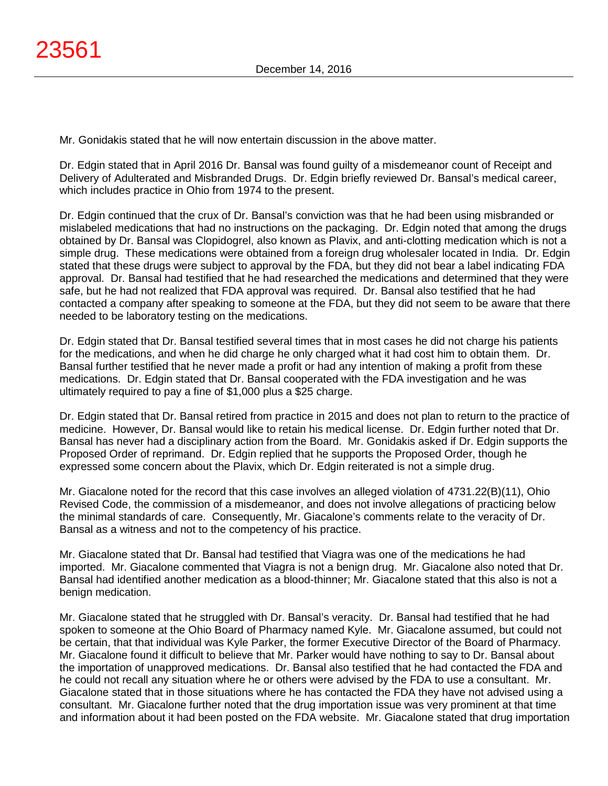Mr. Gonidakis stated that he will now entertain discussion in the above matter.

Dr. Edgin stated that in April 2016 Dr. Bansal was found guilty of a misdemeanor count of Receipt and Delivery of Adulterated and Misbranded Drugs. Dr. Edgin briefly reviewed Dr. Bansal's medical career, which includes practice in Ohio from 1974 to the present.

Dr. Edgin continued that the crux of Dr. Bansal's conviction was that he had been using misbranded or mislabeled medications that had no instructions on the packaging. Dr. Edgin noted that among the drugs obtained by Dr. Bansal was Clopidogrel, also known as Plavix, and anti-clotting medication which is not a simple drug. These medications were obtained from a foreign drug wholesaler located in India. Dr. Edgin stated that these drugs were subject to approval by the FDA, but they did not bear a label indicating FDA approval. Dr. Bansal had testified that he had researched the medications and determined that they were safe, but he had not realized that FDA approval was required. Dr. Bansal also testified that he had contacted a company after speaking to someone at the FDA, but they did not seem to be aware that there needed to be laboratory testing on the medications.

Dr. Edgin stated that Dr. Bansal testified several times that in most cases he did not charge his patients for the medications, and when he did charge he only charged what it had cost him to obtain them. Dr. Bansal further testified that he never made a profit or had any intention of making a profit from these medications. Dr. Edgin stated that Dr. Bansal cooperated with the FDA investigation and he was ultimately required to pay a fine of \$1,000 plus a \$25 charge.

Dr. Edgin stated that Dr. Bansal retired from practice in 2015 and does not plan to return to the practice of medicine. However, Dr. Bansal would like to retain his medical license. Dr. Edgin further noted that Dr. Bansal has never had a disciplinary action from the Board. Mr. Gonidakis asked if Dr. Edgin supports the Proposed Order of reprimand. Dr. Edgin replied that he supports the Proposed Order, though he expressed some concern about the Plavix, which Dr. Edgin reiterated is not a simple drug.

Mr. Giacalone noted for the record that this case involves an alleged violation of 4731.22(B)(11), Ohio Revised Code, the commission of a misdemeanor, and does not involve allegations of practicing below the minimal standards of care. Consequently, Mr. Giacalone's comments relate to the veracity of Dr. Bansal as a witness and not to the competency of his practice.

Mr. Giacalone stated that Dr. Bansal had testified that Viagra was one of the medications he had imported. Mr. Giacalone commented that Viagra is not a benign drug. Mr. Giacalone also noted that Dr. Bansal had identified another medication as a blood-thinner; Mr. Giacalone stated that this also is not a benign medication.

Mr. Giacalone stated that he struggled with Dr. Bansal's veracity. Dr. Bansal had testified that he had spoken to someone at the Ohio Board of Pharmacy named Kyle. Mr. Giacalone assumed, but could not be certain, that that individual was Kyle Parker, the former Executive Director of the Board of Pharmacy. Mr. Giacalone found it difficult to believe that Mr. Parker would have nothing to say to Dr. Bansal about the importation of unapproved medications. Dr. Bansal also testified that he had contacted the FDA and he could not recall any situation where he or others were advised by the FDA to use a consultant. Mr. Giacalone stated that in those situations where he has contacted the FDA they have not advised using a consultant. Mr. Giacalone further noted that the drug importation issue was very prominent at that time and information about it had been posted on the FDA website. Mr. Giacalone stated that drug importation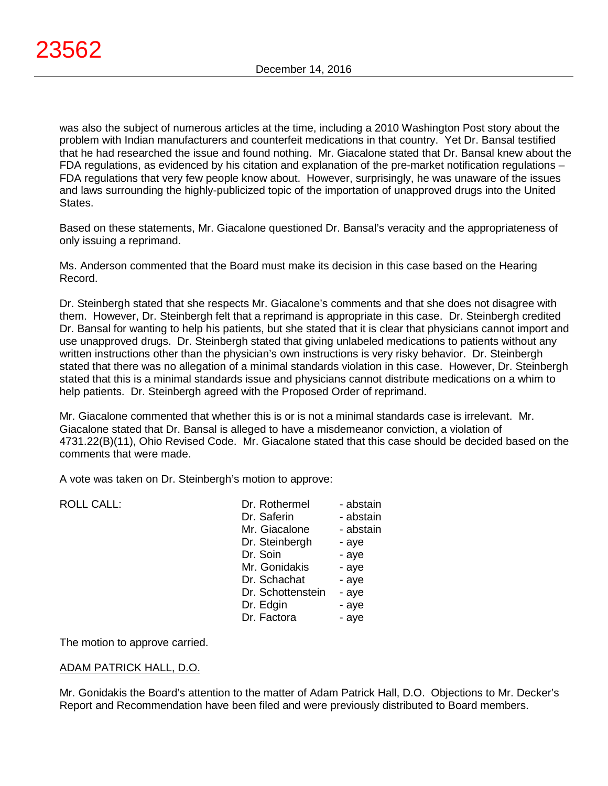was also the subject of numerous articles at the time, including a 2010 Washington Post story about the problem with Indian manufacturers and counterfeit medications in that country. Yet Dr. Bansal testified that he had researched the issue and found nothing. Mr. Giacalone stated that Dr. Bansal knew about the FDA regulations, as evidenced by his citation and explanation of the pre-market notification regulations – FDA regulations that very few people know about. However, surprisingly, he was unaware of the issues and laws surrounding the highly-publicized topic of the importation of unapproved drugs into the United States.

Based on these statements, Mr. Giacalone questioned Dr. Bansal's veracity and the appropriateness of only issuing a reprimand.

Ms. Anderson commented that the Board must make its decision in this case based on the Hearing Record.

Dr. Steinbergh stated that she respects Mr. Giacalone's comments and that she does not disagree with them. However, Dr. Steinbergh felt that a reprimand is appropriate in this case. Dr. Steinbergh credited Dr. Bansal for wanting to help his patients, but she stated that it is clear that physicians cannot import and use unapproved drugs. Dr. Steinbergh stated that giving unlabeled medications to patients without any written instructions other than the physician's own instructions is very risky behavior. Dr. Steinbergh stated that there was no allegation of a minimal standards violation in this case. However, Dr. Steinbergh stated that this is a minimal standards issue and physicians cannot distribute medications on a whim to help patients. Dr. Steinbergh agreed with the Proposed Order of reprimand.

Mr. Giacalone commented that whether this is or is not a minimal standards case is irrelevant. Mr. Giacalone stated that Dr. Bansal is alleged to have a misdemeanor conviction, a violation of 4731.22(B)(11), Ohio Revised Code. Mr. Giacalone stated that this case should be decided based on the comments that were made.

A vote was taken on Dr. Steinbergh's motion to approve:

| <b>ROLL CALL:</b> | Dr. Rothermel     | - abstain |
|-------------------|-------------------|-----------|
|                   | Dr. Saferin       | - abstain |
|                   | Mr. Giacalone     | - abstain |
|                   | Dr. Steinbergh    | - aye     |
|                   | Dr. Soin          | - aye     |
|                   | Mr. Gonidakis     | - aye     |
|                   | Dr. Schachat      | - aye     |
|                   | Dr. Schottenstein | - aye     |
|                   | Dr. Edgin         | - aye     |
|                   | Dr. Factora       | - aye     |
|                   |                   |           |

The motion to approve carried.

# ADAM PATRICK HALL, D.O.

Mr. Gonidakis the Board's attention to the matter of Adam Patrick Hall, D.O. Objections to Mr. Decker's Report and Recommendation have been filed and were previously distributed to Board members.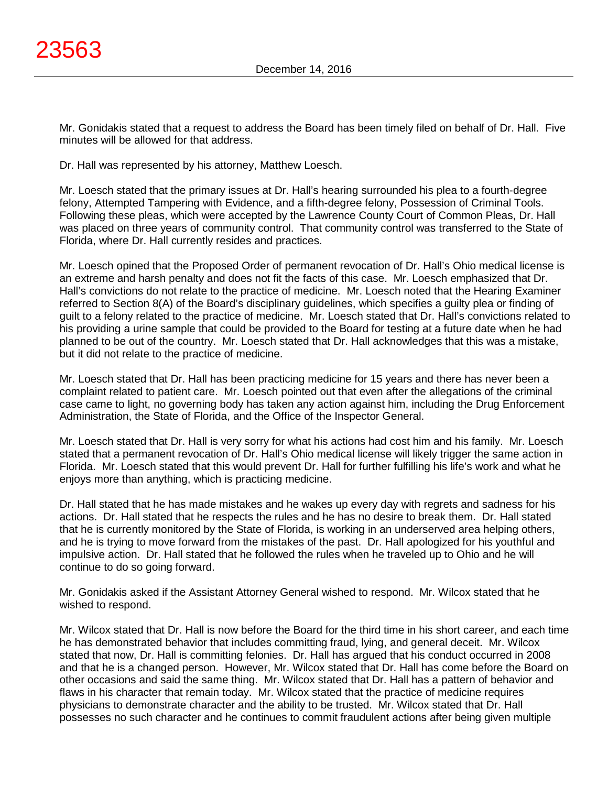Mr. Gonidakis stated that a request to address the Board has been timely filed on behalf of Dr. Hall. Five minutes will be allowed for that address.

Dr. Hall was represented by his attorney, Matthew Loesch.

Mr. Loesch stated that the primary issues at Dr. Hall's hearing surrounded his plea to a fourth-degree felony, Attempted Tampering with Evidence, and a fifth-degree felony, Possession of Criminal Tools. Following these pleas, which were accepted by the Lawrence County Court of Common Pleas, Dr. Hall was placed on three years of community control. That community control was transferred to the State of Florida, where Dr. Hall currently resides and practices.

Mr. Loesch opined that the Proposed Order of permanent revocation of Dr. Hall's Ohio medical license is an extreme and harsh penalty and does not fit the facts of this case. Mr. Loesch emphasized that Dr. Hall's convictions do not relate to the practice of medicine. Mr. Loesch noted that the Hearing Examiner referred to Section 8(A) of the Board's disciplinary guidelines, which specifies a guilty plea or finding of guilt to a felony related to the practice of medicine. Mr. Loesch stated that Dr. Hall's convictions related to his providing a urine sample that could be provided to the Board for testing at a future date when he had planned to be out of the country. Mr. Loesch stated that Dr. Hall acknowledges that this was a mistake, but it did not relate to the practice of medicine.

Mr. Loesch stated that Dr. Hall has been practicing medicine for 15 years and there has never been a complaint related to patient care. Mr. Loesch pointed out that even after the allegations of the criminal case came to light, no governing body has taken any action against him, including the Drug Enforcement Administration, the State of Florida, and the Office of the Inspector General.

Mr. Loesch stated that Dr. Hall is very sorry for what his actions had cost him and his family. Mr. Loesch stated that a permanent revocation of Dr. Hall's Ohio medical license will likely trigger the same action in Florida. Mr. Loesch stated that this would prevent Dr. Hall for further fulfilling his life's work and what he enjoys more than anything, which is practicing medicine.

Dr. Hall stated that he has made mistakes and he wakes up every day with regrets and sadness for his actions. Dr. Hall stated that he respects the rules and he has no desire to break them. Dr. Hall stated that he is currently monitored by the State of Florida, is working in an underserved area helping others, and he is trying to move forward from the mistakes of the past. Dr. Hall apologized for his youthful and impulsive action. Dr. Hall stated that he followed the rules when he traveled up to Ohio and he will continue to do so going forward.

Mr. Gonidakis asked if the Assistant Attorney General wished to respond. Mr. Wilcox stated that he wished to respond.

Mr. Wilcox stated that Dr. Hall is now before the Board for the third time in his short career, and each time he has demonstrated behavior that includes committing fraud, lying, and general deceit. Mr. Wilcox stated that now, Dr. Hall is committing felonies. Dr. Hall has argued that his conduct occurred in 2008 and that he is a changed person. However, Mr. Wilcox stated that Dr. Hall has come before the Board on other occasions and said the same thing. Mr. Wilcox stated that Dr. Hall has a pattern of behavior and flaws in his character that remain today. Mr. Wilcox stated that the practice of medicine requires physicians to demonstrate character and the ability to be trusted. Mr. Wilcox stated that Dr. Hall possesses no such character and he continues to commit fraudulent actions after being given multiple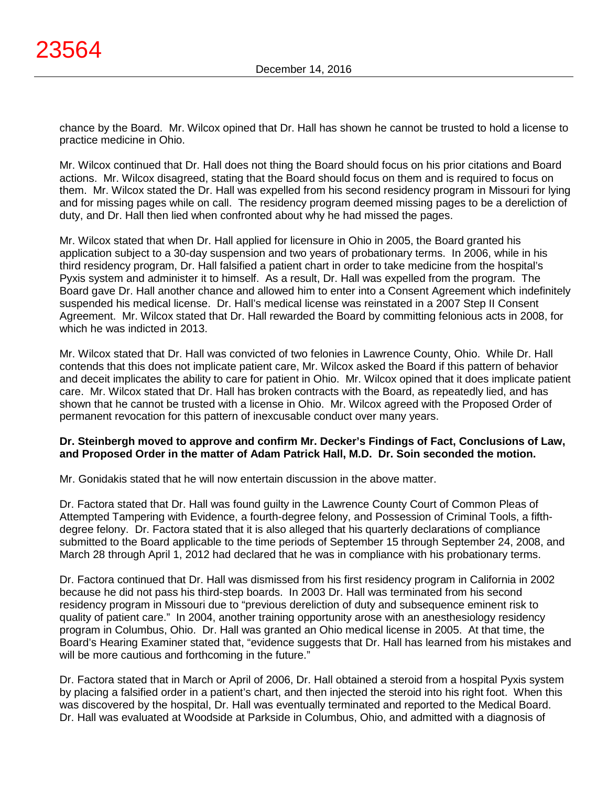chance by the Board. Mr. Wilcox opined that Dr. Hall has shown he cannot be trusted to hold a license to practice medicine in Ohio.

Mr. Wilcox continued that Dr. Hall does not thing the Board should focus on his prior citations and Board actions. Mr. Wilcox disagreed, stating that the Board should focus on them and is required to focus on them. Mr. Wilcox stated the Dr. Hall was expelled from his second residency program in Missouri for lying and for missing pages while on call. The residency program deemed missing pages to be a dereliction of duty, and Dr. Hall then lied when confronted about why he had missed the pages.

Mr. Wilcox stated that when Dr. Hall applied for licensure in Ohio in 2005, the Board granted his application subject to a 30-day suspension and two years of probationary terms. In 2006, while in his third residency program, Dr. Hall falsified a patient chart in order to take medicine from the hospital's Pyxis system and administer it to himself. As a result, Dr. Hall was expelled from the program. The Board gave Dr. Hall another chance and allowed him to enter into a Consent Agreement which indefinitely suspended his medical license. Dr. Hall's medical license was reinstated in a 2007 Step II Consent Agreement. Mr. Wilcox stated that Dr. Hall rewarded the Board by committing felonious acts in 2008, for which he was indicted in 2013.

Mr. Wilcox stated that Dr. Hall was convicted of two felonies in Lawrence County, Ohio. While Dr. Hall contends that this does not implicate patient care, Mr. Wilcox asked the Board if this pattern of behavior and deceit implicates the ability to care for patient in Ohio. Mr. Wilcox opined that it does implicate patient care. Mr. Wilcox stated that Dr. Hall has broken contracts with the Board, as repeatedly lied, and has shown that he cannot be trusted with a license in Ohio. Mr. Wilcox agreed with the Proposed Order of permanent revocation for this pattern of inexcusable conduct over many years.

## **Dr. Steinbergh moved to approve and confirm Mr. Decker's Findings of Fact, Conclusions of Law, and Proposed Order in the matter of Adam Patrick Hall, M.D. Dr. Soin seconded the motion.**

Mr. Gonidakis stated that he will now entertain discussion in the above matter.

Dr. Factora stated that Dr. Hall was found guilty in the Lawrence County Court of Common Pleas of Attempted Tampering with Evidence, a fourth-degree felony, and Possession of Criminal Tools, a fifthdegree felony. Dr. Factora stated that it is also alleged that his quarterly declarations of compliance submitted to the Board applicable to the time periods of September 15 through September 24, 2008, and March 28 through April 1, 2012 had declared that he was in compliance with his probationary terms.

Dr. Factora continued that Dr. Hall was dismissed from his first residency program in California in 2002 because he did not pass his third-step boards. In 2003 Dr. Hall was terminated from his second residency program in Missouri due to "previous dereliction of duty and subsequence eminent risk to quality of patient care." In 2004, another training opportunity arose with an anesthesiology residency program in Columbus, Ohio. Dr. Hall was granted an Ohio medical license in 2005. At that time, the Board's Hearing Examiner stated that, "evidence suggests that Dr. Hall has learned from his mistakes and will be more cautious and forthcoming in the future."

Dr. Factora stated that in March or April of 2006, Dr. Hall obtained a steroid from a hospital Pyxis system by placing a falsified order in a patient's chart, and then injected the steroid into his right foot. When this was discovered by the hospital, Dr. Hall was eventually terminated and reported to the Medical Board. Dr. Hall was evaluated at Woodside at Parkside in Columbus, Ohio, and admitted with a diagnosis of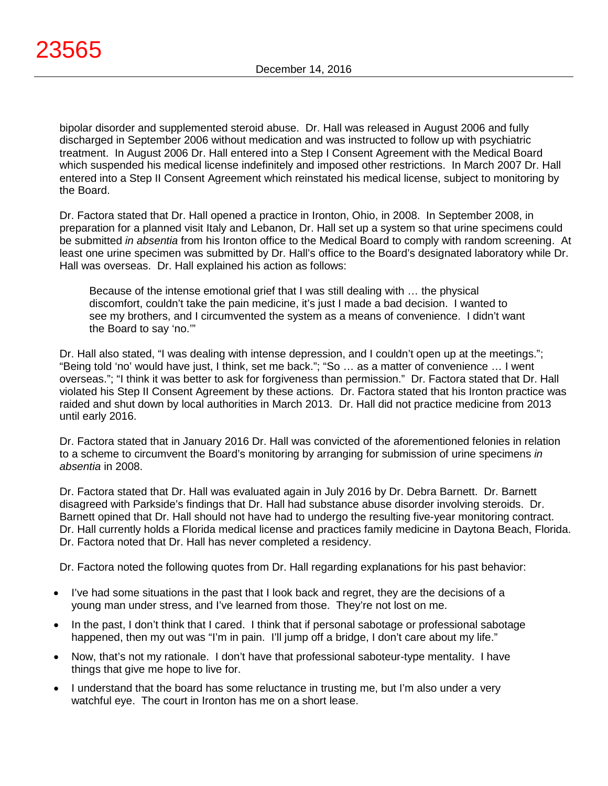bipolar disorder and supplemented steroid abuse. Dr. Hall was released in August 2006 and fully discharged in September 2006 without medication and was instructed to follow up with psychiatric treatment. In August 2006 Dr. Hall entered into a Step I Consent Agreement with the Medical Board which suspended his medical license indefinitely and imposed other restrictions. In March 2007 Dr. Hall entered into a Step II Consent Agreement which reinstated his medical license, subject to monitoring by the Board.

Dr. Factora stated that Dr. Hall opened a practice in Ironton, Ohio, in 2008. In September 2008, in preparation for a planned visit Italy and Lebanon, Dr. Hall set up a system so that urine specimens could be submitted *in absentia* from his Ironton office to the Medical Board to comply with random screening. At least one urine specimen was submitted by Dr. Hall's office to the Board's designated laboratory while Dr. Hall was overseas. Dr. Hall explained his action as follows:

Because of the intense emotional grief that I was still dealing with … the physical discomfort, couldn't take the pain medicine, it's just I made a bad decision. I wanted to see my brothers, and I circumvented the system as a means of convenience. I didn't want the Board to say 'no.'"

Dr. Hall also stated, "I was dealing with intense depression, and I couldn't open up at the meetings."; "Being told 'no' would have just, I think, set me back."; "So … as a matter of convenience … I went overseas."; "I think it was better to ask for forgiveness than permission." Dr. Factora stated that Dr. Hall violated his Step II Consent Agreement by these actions. Dr. Factora stated that his Ironton practice was raided and shut down by local authorities in March 2013. Dr. Hall did not practice medicine from 2013 until early 2016.

Dr. Factora stated that in January 2016 Dr. Hall was convicted of the aforementioned felonies in relation to a scheme to circumvent the Board's monitoring by arranging for submission of urine specimens *in absentia* in 2008.

Dr. Factora stated that Dr. Hall was evaluated again in July 2016 by Dr. Debra Barnett. Dr. Barnett disagreed with Parkside's findings that Dr. Hall had substance abuse disorder involving steroids. Dr. Barnett opined that Dr. Hall should not have had to undergo the resulting five-year monitoring contract. Dr. Hall currently holds a Florida medical license and practices family medicine in Daytona Beach, Florida. Dr. Factora noted that Dr. Hall has never completed a residency.

Dr. Factora noted the following quotes from Dr. Hall regarding explanations for his past behavior:

- I've had some situations in the past that I look back and regret, they are the decisions of a young man under stress, and I've learned from those. They're not lost on me.
- In the past, I don't think that I cared. I think that if personal sabotage or professional sabotage happened, then my out was "I'm in pain. I'll jump off a bridge, I don't care about my life."
- Now, that's not my rationale. I don't have that professional saboteur-type mentality. I have things that give me hope to live for.
- I understand that the board has some reluctance in trusting me, but I'm also under a very watchful eye. The court in Ironton has me on a short lease.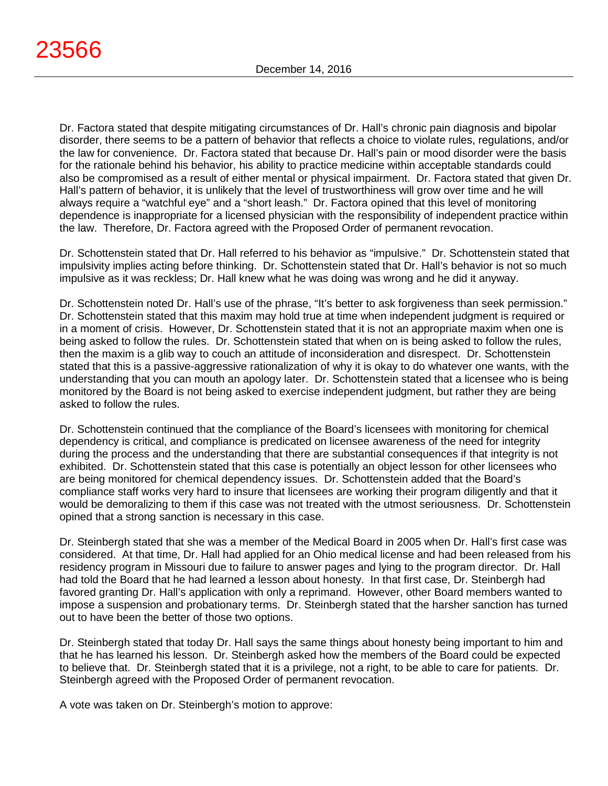Dr. Factora stated that despite mitigating circumstances of Dr. Hall's chronic pain diagnosis and bipolar disorder, there seems to be a pattern of behavior that reflects a choice to violate rules, regulations, and/or the law for convenience. Dr. Factora stated that because Dr. Hall's pain or mood disorder were the basis for the rationale behind his behavior, his ability to practice medicine within acceptable standards could also be compromised as a result of either mental or physical impairment. Dr. Factora stated that given Dr. Hall's pattern of behavior, it is unlikely that the level of trustworthiness will grow over time and he will always require a "watchful eye" and a "short leash." Dr. Factora opined that this level of monitoring dependence is inappropriate for a licensed physician with the responsibility of independent practice within the law. Therefore, Dr. Factora agreed with the Proposed Order of permanent revocation.

Dr. Schottenstein stated that Dr. Hall referred to his behavior as "impulsive." Dr. Schottenstein stated that impulsivity implies acting before thinking. Dr. Schottenstein stated that Dr. Hall's behavior is not so much impulsive as it was reckless; Dr. Hall knew what he was doing was wrong and he did it anyway.

Dr. Schottenstein noted Dr. Hall's use of the phrase, "It's better to ask forgiveness than seek permission." Dr. Schottenstein stated that this maxim may hold true at time when independent judgment is required or in a moment of crisis. However, Dr. Schottenstein stated that it is not an appropriate maxim when one is being asked to follow the rules. Dr. Schottenstein stated that when on is being asked to follow the rules, then the maxim is a glib way to couch an attitude of inconsideration and disrespect. Dr. Schottenstein stated that this is a passive-aggressive rationalization of why it is okay to do whatever one wants, with the understanding that you can mouth an apology later. Dr. Schottenstein stated that a licensee who is being monitored by the Board is not being asked to exercise independent judgment, but rather they are being asked to follow the rules.

Dr. Schottenstein continued that the compliance of the Board's licensees with monitoring for chemical dependency is critical, and compliance is predicated on licensee awareness of the need for integrity during the process and the understanding that there are substantial consequences if that integrity is not exhibited. Dr. Schottenstein stated that this case is potentially an object lesson for other licensees who are being monitored for chemical dependency issues. Dr. Schottenstein added that the Board's compliance staff works very hard to insure that licensees are working their program diligently and that it would be demoralizing to them if this case was not treated with the utmost seriousness. Dr. Schottenstein opined that a strong sanction is necessary in this case.

Dr. Steinbergh stated that she was a member of the Medical Board in 2005 when Dr. Hall's first case was considered. At that time, Dr. Hall had applied for an Ohio medical license and had been released from his residency program in Missouri due to failure to answer pages and lying to the program director. Dr. Hall had told the Board that he had learned a lesson about honesty. In that first case, Dr. Steinbergh had favored granting Dr. Hall's application with only a reprimand. However, other Board members wanted to impose a suspension and probationary terms. Dr. Steinbergh stated that the harsher sanction has turned out to have been the better of those two options.

Dr. Steinbergh stated that today Dr. Hall says the same things about honesty being important to him and that he has learned his lesson. Dr. Steinbergh asked how the members of the Board could be expected to believe that. Dr. Steinbergh stated that it is a privilege, not a right, to be able to care for patients. Dr. Steinbergh agreed with the Proposed Order of permanent revocation.

A vote was taken on Dr. Steinbergh's motion to approve: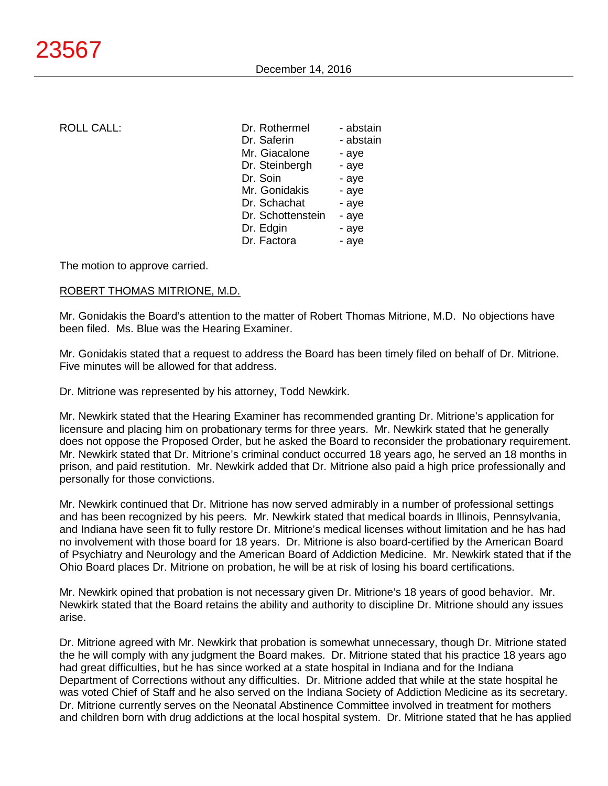| <b>ROLL CALL:</b> | Dr. Rothermel     | - abstain |
|-------------------|-------------------|-----------|
|                   | Dr. Saferin       | - abstain |
|                   | Mr. Giacalone     | - aye     |
|                   | Dr. Steinbergh    | - aye     |
|                   | Dr. Soin          | - aye     |
|                   | Mr. Gonidakis     | - aye     |
|                   | Dr. Schachat      | - aye     |
|                   | Dr. Schottenstein | - aye     |
|                   | Dr. Edgin         | - aye     |
|                   | Dr. Factora       | - aye     |
|                   |                   |           |

The motion to approve carried.

## ROBERT THOMAS MITRIONE, M.D.

Mr. Gonidakis the Board's attention to the matter of Robert Thomas Mitrione, M.D. No objections have been filed. Ms. Blue was the Hearing Examiner.

Mr. Gonidakis stated that a request to address the Board has been timely filed on behalf of Dr. Mitrione. Five minutes will be allowed for that address.

Dr. Mitrione was represented by his attorney, Todd Newkirk.

Mr. Newkirk stated that the Hearing Examiner has recommended granting Dr. Mitrione's application for licensure and placing him on probationary terms for three years. Mr. Newkirk stated that he generally does not oppose the Proposed Order, but he asked the Board to reconsider the probationary requirement. Mr. Newkirk stated that Dr. Mitrione's criminal conduct occurred 18 years ago, he served an 18 months in prison, and paid restitution. Mr. Newkirk added that Dr. Mitrione also paid a high price professionally and personally for those convictions.

Mr. Newkirk continued that Dr. Mitrione has now served admirably in a number of professional settings and has been recognized by his peers. Mr. Newkirk stated that medical boards in Illinois, Pennsylvania, and Indiana have seen fit to fully restore Dr. Mitrione's medical licenses without limitation and he has had no involvement with those board for 18 years. Dr. Mitrione is also board-certified by the American Board of Psychiatry and Neurology and the American Board of Addiction Medicine. Mr. Newkirk stated that if the Ohio Board places Dr. Mitrione on probation, he will be at risk of losing his board certifications.

Mr. Newkirk opined that probation is not necessary given Dr. Mitrione's 18 years of good behavior. Mr. Newkirk stated that the Board retains the ability and authority to discipline Dr. Mitrione should any issues arise.

Dr. Mitrione agreed with Mr. Newkirk that probation is somewhat unnecessary, though Dr. Mitrione stated the he will comply with any judgment the Board makes. Dr. Mitrione stated that his practice 18 years ago had great difficulties, but he has since worked at a state hospital in Indiana and for the Indiana Department of Corrections without any difficulties. Dr. Mitrione added that while at the state hospital he was voted Chief of Staff and he also served on the Indiana Society of Addiction Medicine as its secretary. Dr. Mitrione currently serves on the Neonatal Abstinence Committee involved in treatment for mothers and children born with drug addictions at the local hospital system. Dr. Mitrione stated that he has applied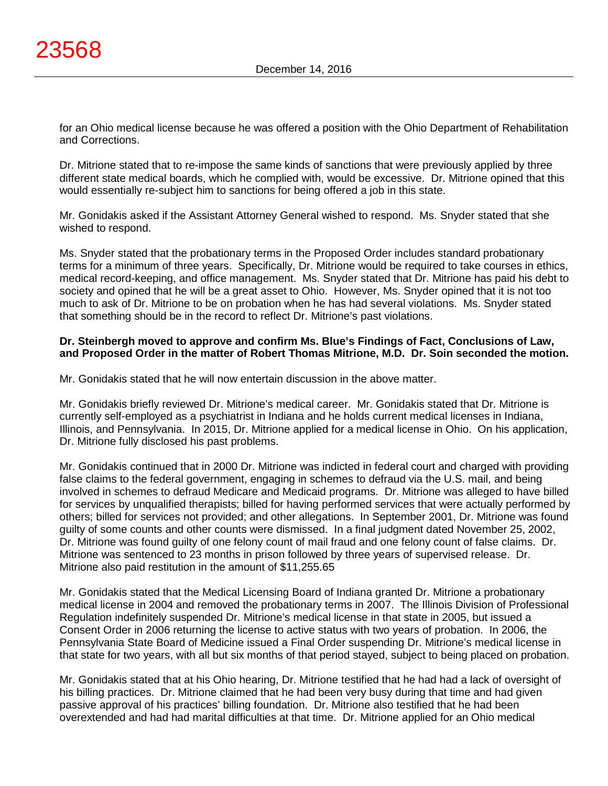for an Ohio medical license because he was offered a position with the Ohio Department of Rehabilitation and Corrections.

Dr. Mitrione stated that to re-impose the same kinds of sanctions that were previously applied by three different state medical boards, which he complied with, would be excessive. Dr. Mitrione opined that this would essentially re-subject him to sanctions for being offered a job in this state.

Mr. Gonidakis asked if the Assistant Attorney General wished to respond. Ms. Snyder stated that she wished to respond.

Ms. Snyder stated that the probationary terms in the Proposed Order includes standard probationary terms for a minimum of three years. Specifically, Dr. Mitrione would be required to take courses in ethics, medical record-keeping, and office management. Ms. Snyder stated that Dr. Mitrione has paid his debt to society and opined that he will be a great asset to Ohio. However, Ms. Snyder opined that it is not too much to ask of Dr. Mitrione to be on probation when he has had several violations. Ms. Snyder stated that something should be in the record to reflect Dr. Mitrione's past violations.

# **Dr. Steinbergh moved to approve and confirm Ms. Blue's Findings of Fact, Conclusions of Law, and Proposed Order in the matter of Robert Thomas Mitrione, M.D. Dr. Soin seconded the motion.**

Mr. Gonidakis stated that he will now entertain discussion in the above matter.

Mr. Gonidakis briefly reviewed Dr. Mitrione's medical career. Mr. Gonidakis stated that Dr. Mitrione is currently self-employed as a psychiatrist in Indiana and he holds current medical licenses in Indiana, Illinois, and Pennsylvania. In 2015, Dr. Mitrione applied for a medical license in Ohio. On his application, Dr. Mitrione fully disclosed his past problems.

Mr. Gonidakis continued that in 2000 Dr. Mitrione was indicted in federal court and charged with providing false claims to the federal government, engaging in schemes to defraud via the U.S. mail, and being involved in schemes to defraud Medicare and Medicaid programs. Dr. Mitrione was alleged to have billed for services by unqualified therapists; billed for having performed services that were actually performed by others; billed for services not provided; and other allegations. In September 2001, Dr. Mitrione was found guilty of some counts and other counts were dismissed. In a final judgment dated November 25, 2002, Dr. Mitrione was found guilty of one felony count of mail fraud and one felony count of false claims. Dr. Mitrione was sentenced to 23 months in prison followed by three years of supervised release. Dr. Mitrione also paid restitution in the amount of \$11,255.65

Mr. Gonidakis stated that the Medical Licensing Board of Indiana granted Dr. Mitrione a probationary medical license in 2004 and removed the probationary terms in 2007. The Illinois Division of Professional Regulation indefinitely suspended Dr. Mitrione's medical license in that state in 2005, but issued a Consent Order in 2006 returning the license to active status with two years of probation. In 2006, the Pennsylvania State Board of Medicine issued a Final Order suspending Dr. Mitrione's medical license in that state for two years, with all but six months of that period stayed, subject to being placed on probation.

Mr. Gonidakis stated that at his Ohio hearing, Dr. Mitrione testified that he had had a lack of oversight of his billing practices. Dr. Mitrione claimed that he had been very busy during that time and had given passive approval of his practices' billing foundation. Dr. Mitrione also testified that he had been overextended and had had marital difficulties at that time. Dr. Mitrione applied for an Ohio medical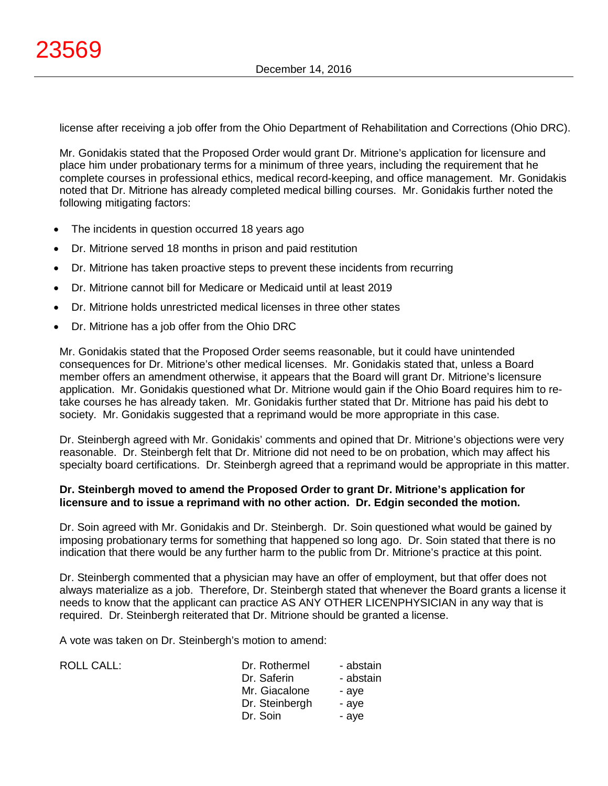license after receiving a job offer from the Ohio Department of Rehabilitation and Corrections (Ohio DRC).

Mr. Gonidakis stated that the Proposed Order would grant Dr. Mitrione's application for licensure and place him under probationary terms for a minimum of three years, including the requirement that he complete courses in professional ethics, medical record-keeping, and office management. Mr. Gonidakis noted that Dr. Mitrione has already completed medical billing courses. Mr. Gonidakis further noted the following mitigating factors:

- The incidents in question occurred 18 years ago
- Dr. Mitrione served 18 months in prison and paid restitution
- Dr. Mitrione has taken proactive steps to prevent these incidents from recurring
- Dr. Mitrione cannot bill for Medicare or Medicaid until at least 2019
- Dr. Mitrione holds unrestricted medical licenses in three other states
- Dr. Mitrione has a job offer from the Ohio DRC

Mr. Gonidakis stated that the Proposed Order seems reasonable, but it could have unintended consequences for Dr. Mitrione's other medical licenses. Mr. Gonidakis stated that, unless a Board member offers an amendment otherwise, it appears that the Board will grant Dr. Mitrione's licensure application. Mr. Gonidakis questioned what Dr. Mitrione would gain if the Ohio Board requires him to retake courses he has already taken. Mr. Gonidakis further stated that Dr. Mitrione has paid his debt to society. Mr. Gonidakis suggested that a reprimand would be more appropriate in this case.

Dr. Steinbergh agreed with Mr. Gonidakis' comments and opined that Dr. Mitrione's objections were very reasonable. Dr. Steinbergh felt that Dr. Mitrione did not need to be on probation, which may affect his specialty board certifications. Dr. Steinbergh agreed that a reprimand would be appropriate in this matter.

## **Dr. Steinbergh moved to amend the Proposed Order to grant Dr. Mitrione's application for licensure and to issue a reprimand with no other action. Dr. Edgin seconded the motion.**

Dr. Soin agreed with Mr. Gonidakis and Dr. Steinbergh. Dr. Soin questioned what would be gained by imposing probationary terms for something that happened so long ago. Dr. Soin stated that there is no indication that there would be any further harm to the public from Dr. Mitrione's practice at this point.

Dr. Steinbergh commented that a physician may have an offer of employment, but that offer does not always materialize as a job. Therefore, Dr. Steinbergh stated that whenever the Board grants a license it needs to know that the applicant can practice AS ANY OTHER LICENPHYSICIAN in any way that is required. Dr. Steinbergh reiterated that Dr. Mitrione should be granted a license.

A vote was taken on Dr. Steinbergh's motion to amend:

 $ROILCAIL$ :

| Dr. Rothermel<br>Dr. Saferin<br>Mr. Giacalone<br>Dr. Steinbergh<br>Dr. Soin | - abstain<br>- abstain<br>- ave<br>- aye<br>- aye |
|-----------------------------------------------------------------------------|---------------------------------------------------|
|                                                                             |                                                   |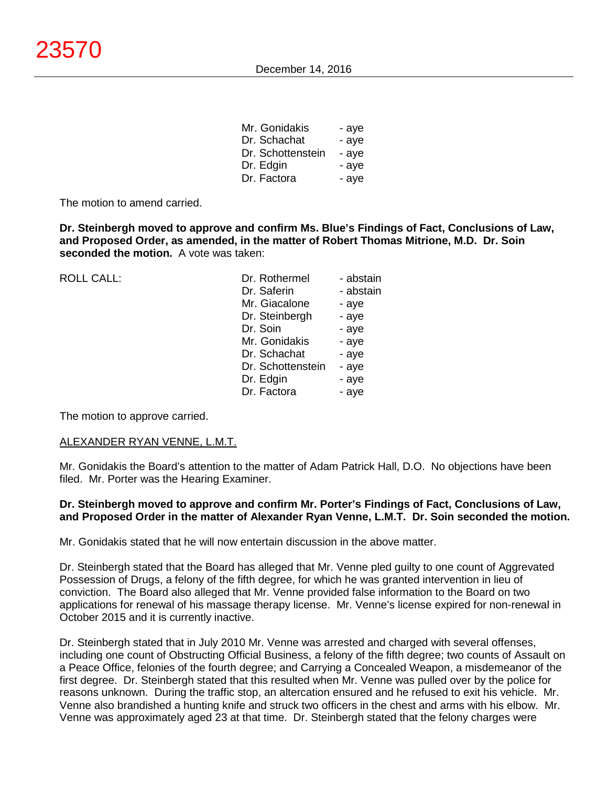| Mr. Gonidakis     | - aye |
|-------------------|-------|
| Dr. Schachat      | - aye |
| Dr. Schottenstein | - ave |
| Dr. Edgin         | - aye |
| Dr. Factora       | - aye |

The motion to amend carried.

**Dr. Steinbergh moved to approve and confirm Ms. Blue's Findings of Fact, Conclusions of Law, and Proposed Order, as amended, in the matter of Robert Thomas Mitrione, M.D. Dr. Soin seconded the motion.** A vote was taken:

ROLL CALL:

| Dr. Rothermel     | - abstaın |
|-------------------|-----------|
| Dr. Saferin       | - abstain |
| Mr. Giacalone     | - aye     |
| Dr. Steinbergh    | - aye     |
| Dr. Soin          | - aye     |
| Mr. Gonidakis     | - aye     |
| Dr. Schachat      | - aye     |
| Dr. Schottenstein | - aye     |
| Dr. Edgin         | - aye     |
| Dr. Factora       | - aye     |
|                   |           |

The motion to approve carried.

#### ALEXANDER RYAN VENNE, L.M.T.

Mr. Gonidakis the Board's attention to the matter of Adam Patrick Hall, D.O. No objections have been filed. Mr. Porter was the Hearing Examiner.

## **Dr. Steinbergh moved to approve and confirm Mr. Porter's Findings of Fact, Conclusions of Law, and Proposed Order in the matter of Alexander Ryan Venne, L.M.T. Dr. Soin seconded the motion.**

Mr. Gonidakis stated that he will now entertain discussion in the above matter.

Dr. Steinbergh stated that the Board has alleged that Mr. Venne pled guilty to one count of Aggrevated Possession of Drugs, a felony of the fifth degree, for which he was granted intervention in lieu of conviction. The Board also alleged that Mr. Venne provided false information to the Board on two applications for renewal of his massage therapy license. Mr. Venne's license expired for non-renewal in October 2015 and it is currently inactive.

Dr. Steinbergh stated that in July 2010 Mr. Venne was arrested and charged with several offenses, including one count of Obstructing Official Business, a felony of the fifth degree; two counts of Assault on a Peace Office, felonies of the fourth degree; and Carrying a Concealed Weapon, a misdemeanor of the first degree. Dr. Steinbergh stated that this resulted when Mr. Venne was pulled over by the police for reasons unknown. During the traffic stop, an altercation ensured and he refused to exit his vehicle. Mr. Venne also brandished a hunting knife and struck two officers in the chest and arms with his elbow. Mr. Venne was approximately aged 23 at that time. Dr. Steinbergh stated that the felony charges were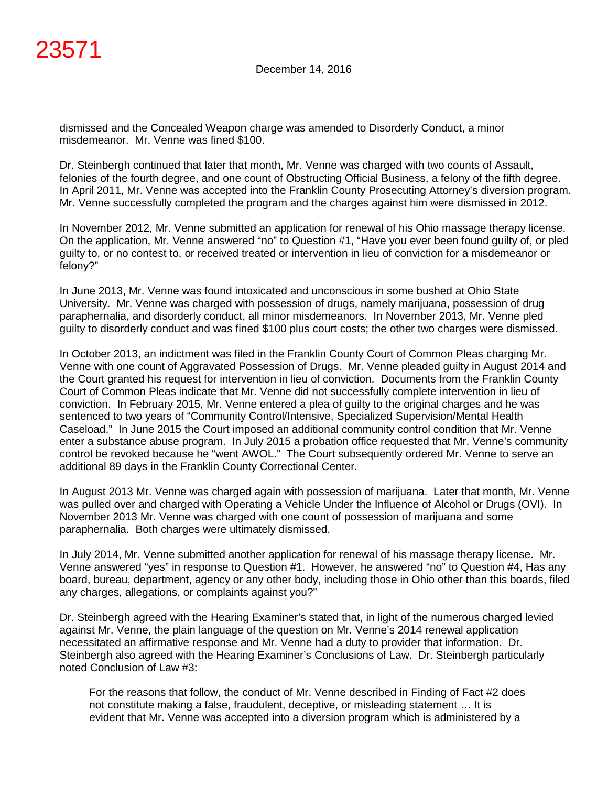dismissed and the Concealed Weapon charge was amended to Disorderly Conduct, a minor misdemeanor. Mr. Venne was fined \$100.

Dr. Steinbergh continued that later that month, Mr. Venne was charged with two counts of Assault, felonies of the fourth degree, and one count of Obstructing Official Business, a felony of the fifth degree. In April 2011, Mr. Venne was accepted into the Franklin County Prosecuting Attorney's diversion program. Mr. Venne successfully completed the program and the charges against him were dismissed in 2012.

In November 2012, Mr. Venne submitted an application for renewal of his Ohio massage therapy license. On the application, Mr. Venne answered "no" to Question #1, "Have you ever been found guilty of, or pled guilty to, or no contest to, or received treated or intervention in lieu of conviction for a misdemeanor or felony?"

In June 2013, Mr. Venne was found intoxicated and unconscious in some bushed at Ohio State University. Mr. Venne was charged with possession of drugs, namely marijuana, possession of drug paraphernalia, and disorderly conduct, all minor misdemeanors. In November 2013, Mr. Venne pled guilty to disorderly conduct and was fined \$100 plus court costs; the other two charges were dismissed.

In October 2013, an indictment was filed in the Franklin County Court of Common Pleas charging Mr. Venne with one count of Aggravated Possession of Drugs. Mr. Venne pleaded guilty in August 2014 and the Court granted his request for intervention in lieu of conviction. Documents from the Franklin County Court of Common Pleas indicate that Mr. Venne did not successfully complete intervention in lieu of conviction. In February 2015, Mr. Venne entered a plea of guilty to the original charges and he was sentenced to two years of "Community Control/Intensive, Specialized Supervision/Mental Health Caseload." In June 2015 the Court imposed an additional community control condition that Mr. Venne enter a substance abuse program. In July 2015 a probation office requested that Mr. Venne's community control be revoked because he "went AWOL." The Court subsequently ordered Mr. Venne to serve an additional 89 days in the Franklin County Correctional Center.

In August 2013 Mr. Venne was charged again with possession of marijuana. Later that month, Mr. Venne was pulled over and charged with Operating a Vehicle Under the Influence of Alcohol or Drugs (OVI). In November 2013 Mr. Venne was charged with one count of possession of marijuana and some paraphernalia. Both charges were ultimately dismissed.

In July 2014, Mr. Venne submitted another application for renewal of his massage therapy license. Mr. Venne answered "yes" in response to Question #1. However, he answered "no" to Question #4, Has any board, bureau, department, agency or any other body, including those in Ohio other than this boards, filed any charges, allegations, or complaints against you?"

Dr. Steinbergh agreed with the Hearing Examiner's stated that, in light of the numerous charged levied against Mr. Venne, the plain language of the question on Mr. Venne's 2014 renewal application necessitated an affirmative response and Mr. Venne had a duty to provider that information. Dr. Steinbergh also agreed with the Hearing Examiner's Conclusions of Law. Dr. Steinbergh particularly noted Conclusion of Law #3:

For the reasons that follow, the conduct of Mr. Venne described in Finding of Fact #2 does not constitute making a false, fraudulent, deceptive, or misleading statement … It is evident that Mr. Venne was accepted into a diversion program which is administered by a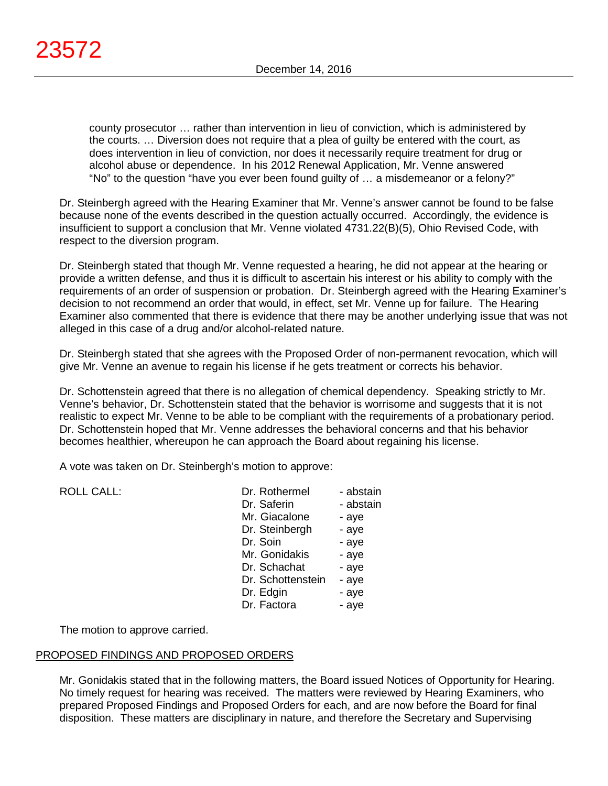county prosecutor … rather than intervention in lieu of conviction, which is administered by the courts. … Diversion does not require that a plea of guilty be entered with the court, as does intervention in lieu of conviction, nor does it necessarily require treatment for drug or alcohol abuse or dependence. In his 2012 Renewal Application, Mr. Venne answered "No" to the question "have you ever been found guilty of … a misdemeanor or a felony?"

Dr. Steinbergh agreed with the Hearing Examiner that Mr. Venne's answer cannot be found to be false because none of the events described in the question actually occurred. Accordingly, the evidence is insufficient to support a conclusion that Mr. Venne violated 4731.22(B)(5), Ohio Revised Code, with respect to the diversion program.

Dr. Steinbergh stated that though Mr. Venne requested a hearing, he did not appear at the hearing or provide a written defense, and thus it is difficult to ascertain his interest or his ability to comply with the requirements of an order of suspension or probation. Dr. Steinbergh agreed with the Hearing Examiner's decision to not recommend an order that would, in effect, set Mr. Venne up for failure. The Hearing Examiner also commented that there is evidence that there may be another underlying issue that was not alleged in this case of a drug and/or alcohol-related nature.

Dr. Steinbergh stated that she agrees with the Proposed Order of non-permanent revocation, which will give Mr. Venne an avenue to regain his license if he gets treatment or corrects his behavior.

Dr. Schottenstein agreed that there is no allegation of chemical dependency. Speaking strictly to Mr. Venne's behavior, Dr. Schottenstein stated that the behavior is worrisome and suggests that it is not realistic to expect Mr. Venne to be able to be compliant with the requirements of a probationary period. Dr. Schottenstein hoped that Mr. Venne addresses the behavioral concerns and that his behavior becomes healthier, whereupon he can approach the Board about regaining his license.

A vote was taken on Dr. Steinbergh's motion to approve:

| <b>ROLL CALL:</b> | Dr. Rothermel     | - abstain |
|-------------------|-------------------|-----------|
|                   | Dr. Saferin       | - abstain |
|                   | Mr. Giacalone     | - aye     |
|                   | Dr. Steinbergh    | - aye     |
|                   | Dr. Soin          | - aye     |
|                   | Mr. Gonidakis     | - aye     |
|                   | Dr. Schachat      | - aye     |
|                   | Dr. Schottenstein | - aye     |
|                   | Dr. Edgin         | - aye     |
|                   | Dr. Factora       | - aye     |

The motion to approve carried.

# PROPOSED FINDINGS AND PROPOSED ORDERS

Mr. Gonidakis stated that in the following matters, the Board issued Notices of Opportunity for Hearing. No timely request for hearing was received. The matters were reviewed by Hearing Examiners, who prepared Proposed Findings and Proposed Orders for each, and are now before the Board for final disposition. These matters are disciplinary in nature, and therefore the Secretary and Supervising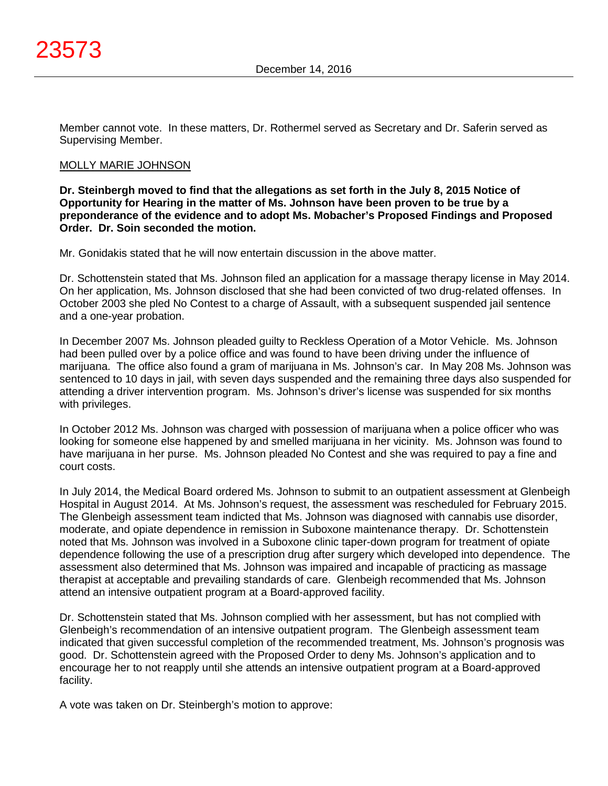

Member cannot vote. In these matters, Dr. Rothermel served as Secretary and Dr. Saferin served as Supervising Member.

## MOLLY MARIE JOHNSON

**Dr. Steinbergh moved to find that the allegations as set forth in the July 8, 2015 Notice of Opportunity for Hearing in the matter of Ms. Johnson have been proven to be true by a preponderance of the evidence and to adopt Ms. Mobacher's Proposed Findings and Proposed Order. Dr. Soin seconded the motion.**

Mr. Gonidakis stated that he will now entertain discussion in the above matter.

Dr. Schottenstein stated that Ms. Johnson filed an application for a massage therapy license in May 2014. On her application, Ms. Johnson disclosed that she had been convicted of two drug-related offenses. In October 2003 she pled No Contest to a charge of Assault, with a subsequent suspended jail sentence and a one-year probation.

In December 2007 Ms. Johnson pleaded guilty to Reckless Operation of a Motor Vehicle. Ms. Johnson had been pulled over by a police office and was found to have been driving under the influence of marijuana. The office also found a gram of marijuana in Ms. Johnson's car. In May 208 Ms. Johnson was sentenced to 10 days in jail, with seven days suspended and the remaining three days also suspended for attending a driver intervention program. Ms. Johnson's driver's license was suspended for six months with privileges.

In October 2012 Ms. Johnson was charged with possession of marijuana when a police officer who was looking for someone else happened by and smelled marijuana in her vicinity. Ms. Johnson was found to have marijuana in her purse. Ms. Johnson pleaded No Contest and she was required to pay a fine and court costs.

In July 2014, the Medical Board ordered Ms. Johnson to submit to an outpatient assessment at Glenbeigh Hospital in August 2014. At Ms. Johnson's request, the assessment was rescheduled for February 2015. The Glenbeigh assessment team indicted that Ms. Johnson was diagnosed with cannabis use disorder, moderate, and opiate dependence in remission in Suboxone maintenance therapy. Dr. Schottenstein noted that Ms. Johnson was involved in a Suboxone clinic taper-down program for treatment of opiate dependence following the use of a prescription drug after surgery which developed into dependence. The assessment also determined that Ms. Johnson was impaired and incapable of practicing as massage therapist at acceptable and prevailing standards of care. Glenbeigh recommended that Ms. Johnson attend an intensive outpatient program at a Board-approved facility.

Dr. Schottenstein stated that Ms. Johnson complied with her assessment, but has not complied with Glenbeigh's recommendation of an intensive outpatient program. The Glenbeigh assessment team indicated that given successful completion of the recommended treatment, Ms. Johnson's prognosis was good. Dr. Schottenstein agreed with the Proposed Order to deny Ms. Johnson's application and to encourage her to not reapply until she attends an intensive outpatient program at a Board-approved facility.

A vote was taken on Dr. Steinbergh's motion to approve: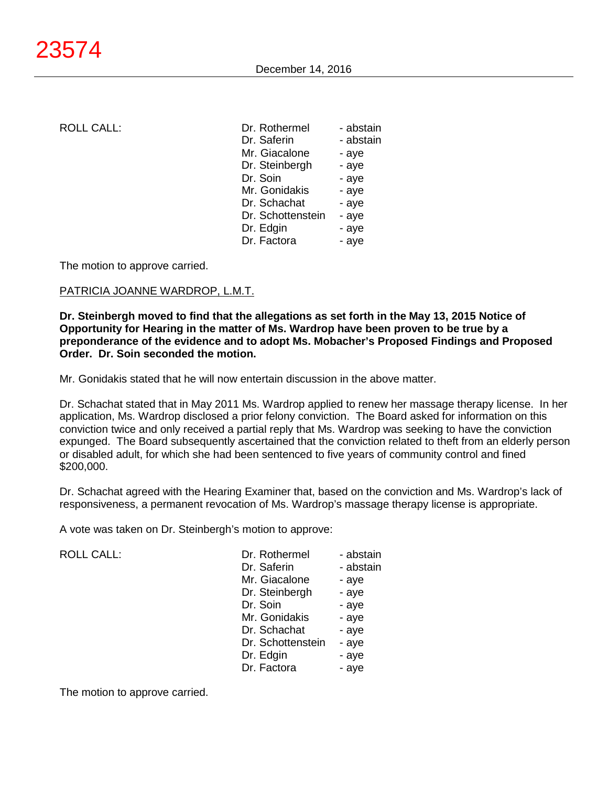| <b>ROLL CALL:</b> | Dr. Rothermel     | - abstain |
|-------------------|-------------------|-----------|
|                   | Dr. Saferin       | - abstain |
|                   | Mr. Giacalone     | - aye     |
|                   | Dr. Steinbergh    | - aye     |
|                   | Dr. Soin          | - aye     |
|                   | Mr. Gonidakis     | - aye     |
|                   | Dr. Schachat      | - aye     |
|                   | Dr. Schottenstein | - aye     |
|                   | Dr. Edgin         | - aye     |
|                   | Dr. Factora       | - aye     |
|                   |                   |           |

The motion to approve carried.

## PATRICIA JOANNE WARDROP, L.M.T.

**Dr. Steinbergh moved to find that the allegations as set forth in the May 13, 2015 Notice of Opportunity for Hearing in the matter of Ms. Wardrop have been proven to be true by a preponderance of the evidence and to adopt Ms. Mobacher's Proposed Findings and Proposed Order. Dr. Soin seconded the motion.**

Mr. Gonidakis stated that he will now entertain discussion in the above matter.

Dr. Schachat stated that in May 2011 Ms. Wardrop applied to renew her massage therapy license. In her application, Ms. Wardrop disclosed a prior felony conviction. The Board asked for information on this conviction twice and only received a partial reply that Ms. Wardrop was seeking to have the conviction expunged. The Board subsequently ascertained that the conviction related to theft from an elderly person or disabled adult, for which she had been sentenced to five years of community control and fined \$200,000.

Dr. Schachat agreed with the Hearing Examiner that, based on the conviction and Ms. Wardrop's lack of responsiveness, a permanent revocation of Ms. Wardrop's massage therapy license is appropriate.

A vote was taken on Dr. Steinbergh's motion to approve:

ROLL CALL:

| Dr. Rothermel     | - abstain |
|-------------------|-----------|
| Dr. Saferin       | - abstain |
| Mr. Giacalone     | - aye     |
| Dr. Steinbergh    | - aye     |
| Dr. Soin          | - aye     |
| Mr. Gonidakis     | - aye     |
| Dr. Schachat      | - aye     |
| Dr. Schottenstein | - aye     |
| Dr. Edgin         | - aye     |
| Dr. Factora       | - aye     |

The motion to approve carried.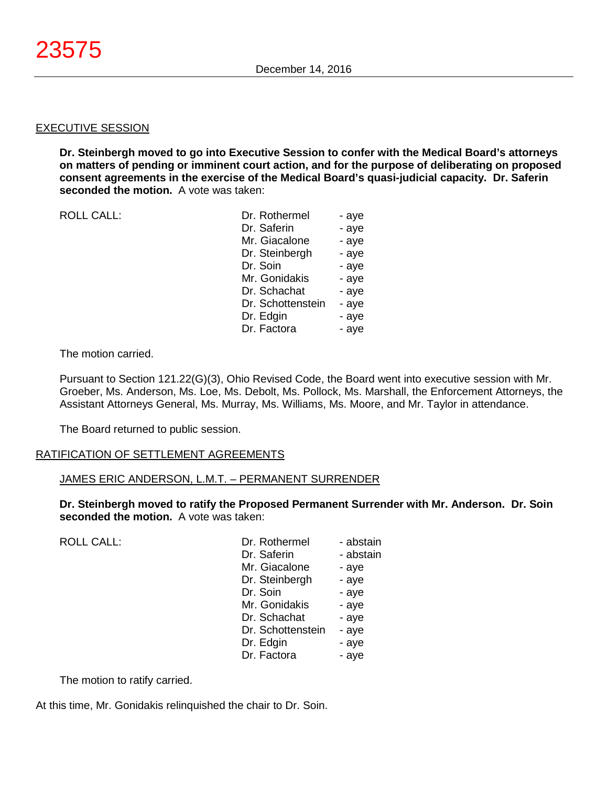#### EXECUTIVE SESSION

**Dr. Steinbergh moved to go into Executive Session to confer with the Medical Board's attorneys on matters of pending or imminent court action, and for the purpose of deliberating on proposed consent agreements in the exercise of the Medical Board's quasi-judicial capacity. Dr. Saferin seconded the motion.** A vote was taken:

ROLL CALL:

| Dr. Rothermel     | - aye |
|-------------------|-------|
| Dr. Saferin       | - aye |
| Mr. Giacalone     | - aye |
| Dr. Steinbergh    | - aye |
| Dr. Soin          | - aye |
| Mr. Gonidakis     | - aye |
| Dr. Schachat      | - aye |
| Dr. Schottenstein | - aye |
| Dr. Edgin         | - aye |
| Dr. Factora       | - aye |

The motion carried.

Pursuant to Section 121.22(G)(3), Ohio Revised Code, the Board went into executive session with Mr. Groeber, Ms. Anderson, Ms. Loe, Ms. Debolt, Ms. Pollock, Ms. Marshall, the Enforcement Attorneys, the Assistant Attorneys General, Ms. Murray, Ms. Williams, Ms. Moore, and Mr. Taylor in attendance.

The Board returned to public session.

## RATIFICATION OF SETTLEMENT AGREEMENTS

#### JAMES ERIC ANDERSON, L.M.T. – PERMANENT SURRENDER

**Dr. Steinbergh moved to ratify the Proposed Permanent Surrender with Mr. Anderson. Dr. Soin seconded the motion.** A vote was taken:

ROLL CALL:

| Dr. Rothermel     | - abstain |
|-------------------|-----------|
| Dr. Saferin       | - abstain |
| Mr. Giacalone     | - aye     |
| Dr. Steinbergh    | - aye     |
| Dr. Soin          | - aye     |
| Mr. Gonidakis     | - aye     |
| Dr. Schachat      | - aye     |
| Dr. Schottenstein | - aye     |
| Dr. Edgin         | - aye     |
| Dr. Factora       | - aye     |
|                   |           |

The motion to ratify carried.

At this time, Mr. Gonidakis relinquished the chair to Dr. Soin.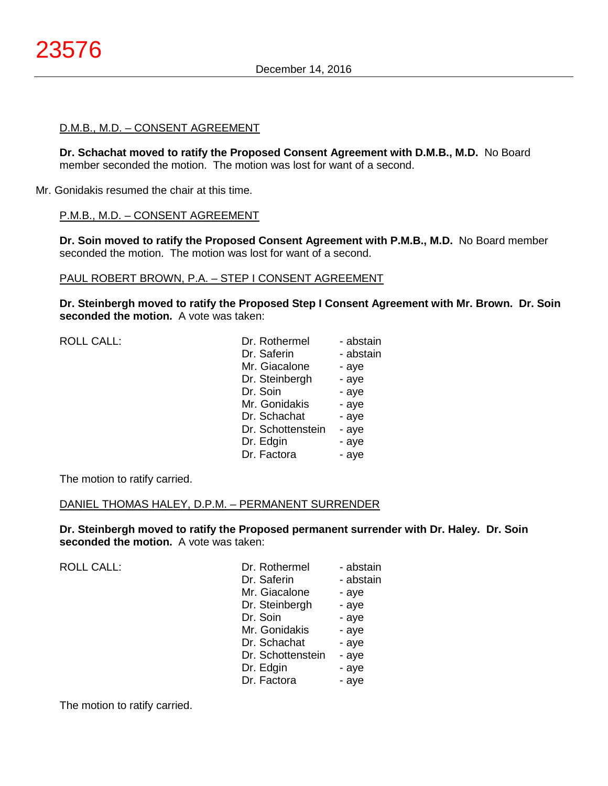## D.M.B., M.D. – CONSENT AGREEMENT

**Dr. Schachat moved to ratify the Proposed Consent Agreement with D.M.B., M.D.** No Board member seconded the motion. The motion was lost for want of a second.

Mr. Gonidakis resumed the chair at this time.

## P.M.B., M.D. – CONSENT AGREEMENT

**Dr. Soin moved to ratify the Proposed Consent Agreement with P.M.B., M.D.** No Board member seconded the motion. The motion was lost for want of a second.

## PAUL ROBERT BROWN, P.A. – STEP I CONSENT AGREEMENT

**Dr. Steinbergh moved to ratify the Proposed Step I Consent Agreement with Mr. Brown. Dr. Soin seconded the motion.** A vote was taken:

| <b>ROLL CALL:</b> | Dr. Rothermel     | - abstain |
|-------------------|-------------------|-----------|
|                   | Dr. Saferin       | - abstain |
|                   | Mr. Giacalone     | - aye     |
|                   | Dr. Steinbergh    | - aye     |
|                   | Dr. Soin          | - aye     |
|                   | Mr. Gonidakis     | - aye     |
|                   | Dr. Schachat      | - aye     |
|                   | Dr. Schottenstein | - aye     |
|                   | Dr. Edgin         | - aye     |
|                   | Dr. Factora       | - aye     |
|                   |                   |           |

The motion to ratify carried.

## DANIEL THOMAS HALEY, D.P.M. – PERMANENT SURRENDER

**Dr. Steinbergh moved to ratify the Proposed permanent surrender with Dr. Haley. Dr. Soin seconded the motion.** A vote was taken:

ROLL CALL:

| Dr. Rothermel     | - abstain |
|-------------------|-----------|
| Dr. Saferin       | - abstain |
| Mr. Giacalone     | - aye     |
| Dr. Steinbergh    | - aye     |
| Dr. Soin          | - aye     |
| Mr. Gonidakis     | - aye     |
| Dr. Schachat      | - aye     |
| Dr. Schottenstein | - aye     |
| Dr. Edgin         | - aye     |
| Dr. Factora       | - aye     |

The motion to ratify carried.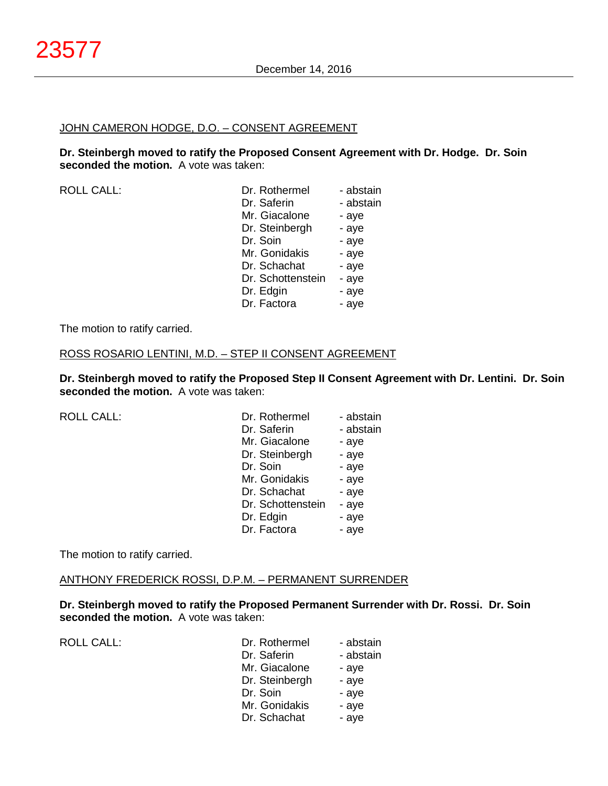#### JOHN CAMERON HODGE, D.O. – CONSENT AGREEMENT

**Dr. Steinbergh moved to ratify the Proposed Consent Agreement with Dr. Hodge. Dr. Soin seconded the motion.** A vote was taken:

| <b>ROLL CALL:</b> | Dr. Rothermel     | - abstain |
|-------------------|-------------------|-----------|
|                   | Dr. Saferin       | - abstain |
|                   | Mr. Giacalone     | - aye     |
|                   | Dr. Steinbergh    | - aye     |
|                   | Dr. Soin          | - aye     |
|                   | Mr. Gonidakis     | - aye     |
|                   | Dr. Schachat      | - aye     |
|                   | Dr. Schottenstein | - aye     |
|                   | Dr. Edgin         | - aye     |
|                   | Dr. Factora       | - aye     |

The motion to ratify carried.

#### ROSS ROSARIO LENTINI, M.D. – STEP II CONSENT AGREEMENT

**Dr. Steinbergh moved to ratify the Proposed Step II Consent Agreement with Dr. Lentini. Dr. Soin seconded the motion.** A vote was taken:

| <b>ROLL CALL:</b> | Dr. Rothermel     | - abstain |
|-------------------|-------------------|-----------|
|                   | Dr. Saferin       | - abstain |
|                   | Mr. Giacalone     | - aye     |
|                   | Dr. Steinbergh    | - aye     |
|                   | Dr. Soin          | - aye     |
|                   | Mr. Gonidakis     | - aye     |
|                   | Dr. Schachat      | - aye     |
|                   | Dr. Schottenstein | - aye     |
|                   | Dr. Edgin         | - aye     |
|                   | Dr. Factora       | - aye     |

The motion to ratify carried.

#### ANTHONY FREDERICK ROSSI, D.P.M. – PERMANENT SURRENDER

**Dr. Steinbergh moved to ratify the Proposed Permanent Surrender with Dr. Rossi. Dr. Soin seconded the motion.** A vote was taken:

ROLL CALL:

| Dr. Rothermel  | - abstain |
|----------------|-----------|
| Dr. Saferin    | - abstain |
| Mr. Giacalone  | - aye     |
| Dr. Steinbergh | - aye     |
| Dr. Soin       | - aye     |
| Mr. Gonidakis  | - aye     |
| Dr. Schachat   | - aye     |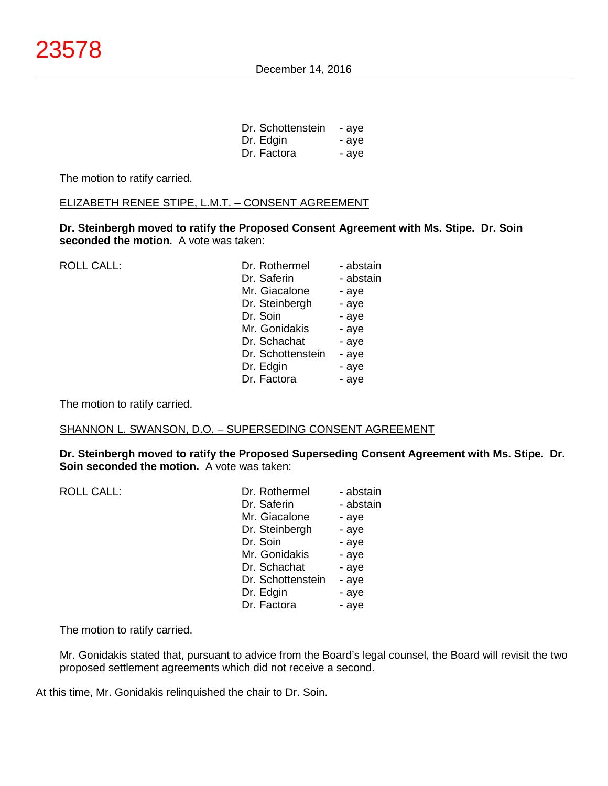| Dr. Schottenstein | - aye |
|-------------------|-------|
| Dr. Edgin         | - aye |
| Dr. Factora       | - aye |

The motion to ratify carried.

## ELIZABETH RENEE STIPE, L.M.T. – CONSENT AGREEMENT

**Dr. Steinbergh moved to ratify the Proposed Consent Agreement with Ms. Stipe. Dr. Soin seconded the motion.** A vote was taken:

| <b>ROLL CALL:</b> | Dr. Rothermel     | - abstain |
|-------------------|-------------------|-----------|
|                   | Dr. Saferin       | - abstain |
|                   | Mr. Giacalone     | - aye     |
|                   | Dr. Steinbergh    | - aye     |
|                   | Dr. Soin          | - aye     |
|                   | Mr. Gonidakis     | - aye     |
|                   | Dr. Schachat      | - aye     |
|                   | Dr. Schottenstein | - aye     |
|                   | Dr. Edgin         | - aye     |
|                   | Dr. Factora       | - aye     |
|                   |                   |           |

The motion to ratify carried.

## SHANNON L. SWANSON, D.O. – SUPERSEDING CONSENT AGREEMENT

**Dr. Steinbergh moved to ratify the Proposed Superseding Consent Agreement with Ms. Stipe. Dr. Soin seconded the motion.** A vote was taken:

| <b>ROLL CALL:</b> | Dr. Rothermel     | - abstain |
|-------------------|-------------------|-----------|
|                   | Dr. Saferin       | - abstain |
|                   | Mr. Giacalone     | - aye     |
|                   | Dr. Steinbergh    | - aye     |
|                   | Dr. Soin          | - aye     |
|                   | Mr. Gonidakis     | - aye     |
|                   | Dr. Schachat      | - aye     |
|                   | Dr. Schottenstein | - aye     |
|                   | Dr. Edgin         | - aye     |
|                   | Dr. Factora       | - aye     |

The motion to ratify carried.

Mr. Gonidakis stated that, pursuant to advice from the Board's legal counsel, the Board will revisit the two proposed settlement agreements which did not receive a second.

At this time, Mr. Gonidakis relinquished the chair to Dr. Soin.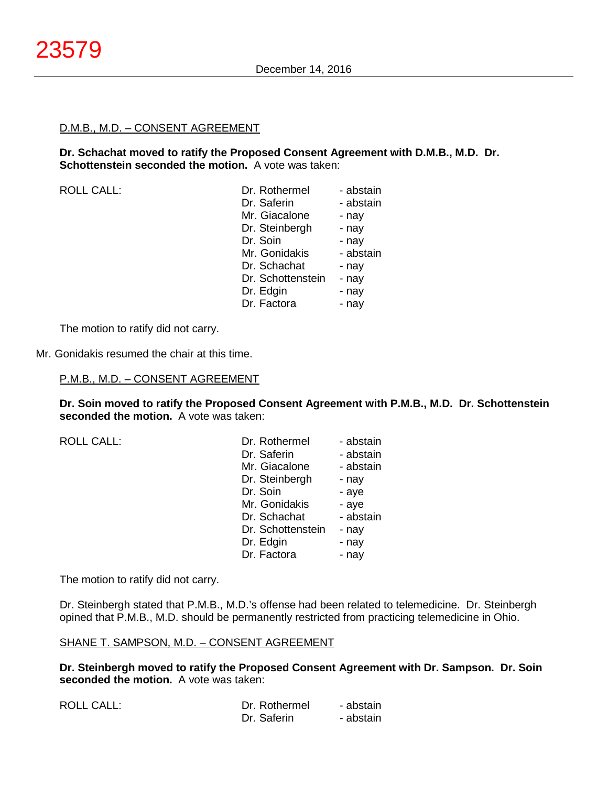#### D.M.B., M.D. – CONSENT AGREEMENT

**Dr. Schachat moved to ratify the Proposed Consent Agreement with D.M.B., M.D. Dr. Schottenstein seconded the motion.** A vote was taken:

ROLL CALL:

| Dr. Rothermel     | - abstain |
|-------------------|-----------|
| Dr. Saferin       | - abstain |
| Mr. Giacalone     | - nay     |
| Dr. Steinbergh    | - nay     |
| Dr. Soin          | - nay     |
| Mr. Gonidakis     | - abstain |
| Dr. Schachat      | - nay     |
| Dr. Schottenstein | - nay     |
| Dr. Edgin         | - nay     |
| Dr. Factora       | - nav     |

The motion to ratify did not carry.

Mr. Gonidakis resumed the chair at this time.

P.M.B., M.D. – CONSENT AGREEMENT

**Dr. Soin moved to ratify the Proposed Consent Agreement with P.M.B., M.D. Dr. Schottenstein seconded the motion.** A vote was taken:

ROLL CALL:

| Dr. Rothermel     | - abstain |
|-------------------|-----------|
| Dr. Saferin       | - abstain |
| Mr. Giacalone     | - abstain |
| Dr. Steinbergh    | - nay     |
| Dr. Soin          | - aye     |
| Mr. Gonidakis     | - aye     |
| Dr. Schachat      | - abstain |
| Dr. Schottenstein | - nay     |
| Dr. Edgin         | - nay     |
| Dr. Factora       | - nay     |

The motion to ratify did not carry.

Dr. Steinbergh stated that P.M.B., M.D.'s offense had been related to telemedicine. Dr. Steinbergh opined that P.M.B., M.D. should be permanently restricted from practicing telemedicine in Ohio.

#### SHANE T. SAMPSON, M.D. – CONSENT AGREEMENT

**Dr. Steinbergh moved to ratify the Proposed Consent Agreement with Dr. Sampson. Dr. Soin seconded the motion.** A vote was taken:

| ROLL CALL: | Dr. Rothermel | - abstain |
|------------|---------------|-----------|
|            | Dr. Saferin   | - abstain |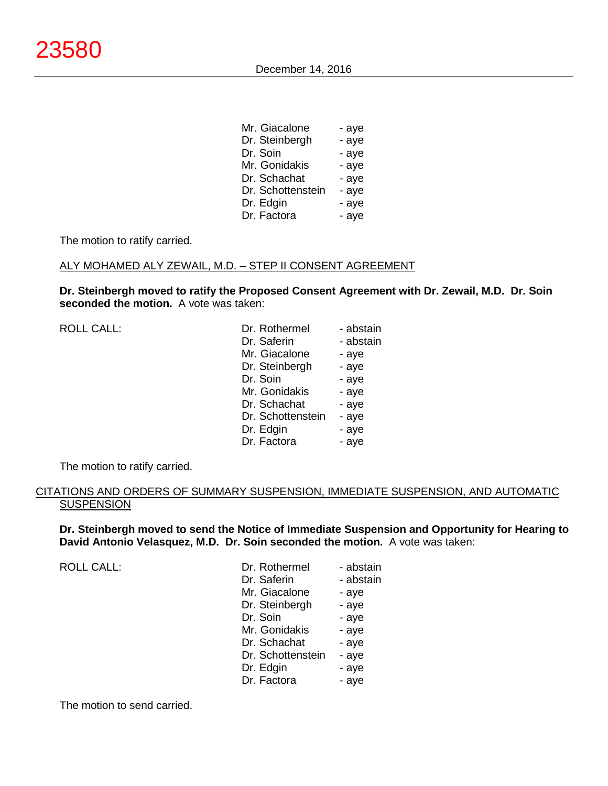| Mr. Giacalone     | - aye |
|-------------------|-------|
| Dr. Steinbergh    | - aye |
| Dr. Soin          | - aye |
| Mr. Gonidakis     | - aye |
| Dr. Schachat      | - aye |
| Dr. Schottenstein | - aye |
| Dr. Edgin         | - aye |
| Dr. Factora       | - aye |

The motion to ratify carried.

## ALY MOHAMED ALY ZEWAIL, M.D. – STEP II CONSENT AGREEMENT

**Dr. Steinbergh moved to ratify the Proposed Consent Agreement with Dr. Zewail, M.D. Dr. Soin seconded the motion.** A vote was taken:

| <b>ROLL CALL:</b> | Dr. Rothermel     | - abstain |
|-------------------|-------------------|-----------|
|                   | Dr. Saferin       | - abstain |
|                   | Mr. Giacalone     | - aye     |
|                   | Dr. Steinbergh    | - aye     |
|                   | Dr. Soin          | - aye     |
|                   | Mr. Gonidakis     | - aye     |
|                   | Dr. Schachat      | - aye     |
|                   | Dr. Schottenstein | - aye     |
|                   | Dr. Edgin         | - aye     |
|                   | Dr. Factora       | - aye     |

The motion to ratify carried.

## CITATIONS AND ORDERS OF SUMMARY SUSPENSION, IMMEDIATE SUSPENSION, AND AUTOMATIC **SUSPENSION**

**Dr. Steinbergh moved to send the Notice of Immediate Suspension and Opportunity for Hearing to David Antonio Velasquez, M.D. Dr. Soin seconded the motion.** A vote was taken:

ROLL CALL:

| Dr. Rothermel     | - abstain |
|-------------------|-----------|
| Dr. Saferin       | - abstain |
| Mr. Giacalone     | - aye     |
| Dr. Steinbergh    | - aye     |
| Dr. Soin          | - aye     |
| Mr. Gonidakis     | - aye     |
| Dr. Schachat      | - aye     |
| Dr. Schottenstein | - aye     |
| Dr. Edgin         | - aye     |
| Dr. Factora       | - aye     |

The motion to send carried.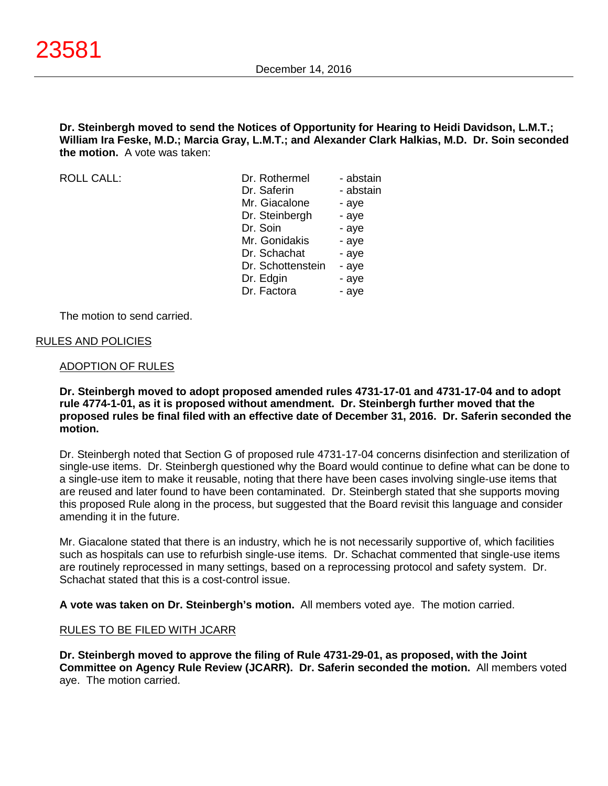**Dr. Steinbergh moved to send the Notices of Opportunity for Hearing to Heidi Davidson, L.M.T.; William Ira Feske, M.D.; Marcia Gray, L.M.T.; and Alexander Clark Halkias, M.D. Dr. Soin seconded the motion.** A vote was taken:

 $ROILCAIL$ 

| Dr. Rothermel     | - abstain |
|-------------------|-----------|
| Dr. Saferin       | - abstain |
| Mr. Giacalone     | - aye     |
| Dr. Steinbergh    | - aye     |
| Dr. Soin          | - aye     |
| Mr. Gonidakis     | - aye     |
| Dr. Schachat      | - aye     |
| Dr. Schottenstein | - aye     |
| Dr. Edgin         | - aye     |
| Dr. Factora       | - ave     |
|                   |           |

The motion to send carried.

## RULES AND POLICIES

#### ADOPTION OF RULES

## **Dr. Steinbergh moved to adopt proposed amended rules 4731-17-01 and 4731-17-04 and to adopt rule 4774-1-01, as it is proposed without amendment. Dr. Steinbergh further moved that the proposed rules be final filed with an effective date of December 31, 2016. Dr. Saferin seconded the motion.**

Dr. Steinbergh noted that Section G of proposed rule 4731-17-04 concerns disinfection and sterilization of single-use items. Dr. Steinbergh questioned why the Board would continue to define what can be done to a single-use item to make it reusable, noting that there have been cases involving single-use items that are reused and later found to have been contaminated. Dr. Steinbergh stated that she supports moving this proposed Rule along in the process, but suggested that the Board revisit this language and consider amending it in the future.

Mr. Giacalone stated that there is an industry, which he is not necessarily supportive of, which facilities such as hospitals can use to refurbish single-use items. Dr. Schachat commented that single-use items are routinely reprocessed in many settings, based on a reprocessing protocol and safety system. Dr. Schachat stated that this is a cost-control issue.

**A vote was taken on Dr. Steinbergh's motion.** All members voted aye. The motion carried.

## RULES TO BE FILED WITH JCARR

**Dr. Steinbergh moved to approve the filing of Rule 4731-29-01, as proposed, with the Joint Committee on Agency Rule Review (JCARR). Dr. Saferin seconded the motion.** All members voted aye. The motion carried.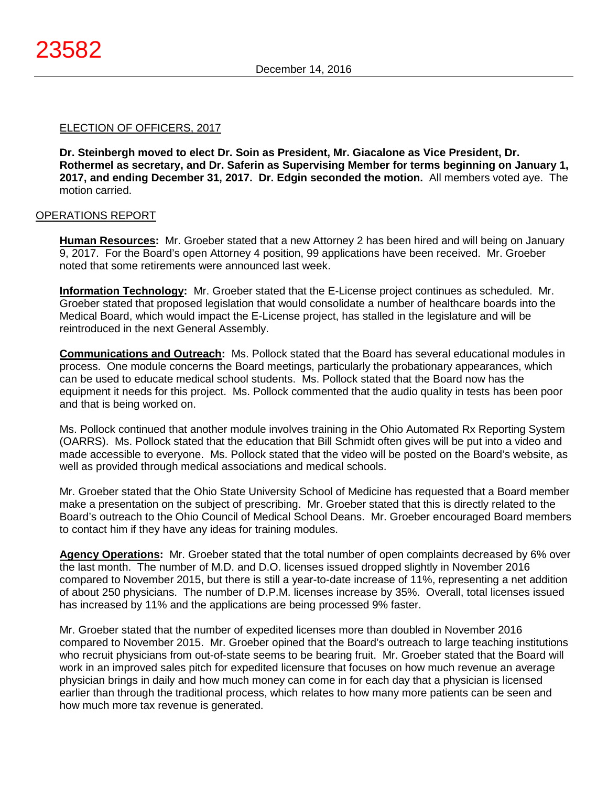## ELECTION OF OFFICERS, 2017

**Dr. Steinbergh moved to elect Dr. Soin as President, Mr. Giacalone as Vice President, Dr. Rothermel as secretary, and Dr. Saferin as Supervising Member for terms beginning on January 1, 2017, and ending December 31, 2017. Dr. Edgin seconded the motion.** All members voted aye. The motion carried.

## OPERATIONS REPORT

**Human Resources:** Mr. Groeber stated that a new Attorney 2 has been hired and will being on January 9, 2017. For the Board's open Attorney 4 position, 99 applications have been received. Mr. Groeber noted that some retirements were announced last week.

**Information Technology:** Mr. Groeber stated that the E-License project continues as scheduled. Mr. Groeber stated that proposed legislation that would consolidate a number of healthcare boards into the Medical Board, which would impact the E-License project, has stalled in the legislature and will be reintroduced in the next General Assembly.

**Communications and Outreach:** Ms. Pollock stated that the Board has several educational modules in process. One module concerns the Board meetings, particularly the probationary appearances, which can be used to educate medical school students. Ms. Pollock stated that the Board now has the equipment it needs for this project. Ms. Pollock commented that the audio quality in tests has been poor and that is being worked on.

Ms. Pollock continued that another module involves training in the Ohio Automated Rx Reporting System (OARRS). Ms. Pollock stated that the education that Bill Schmidt often gives will be put into a video and made accessible to everyone. Ms. Pollock stated that the video will be posted on the Board's website, as well as provided through medical associations and medical schools.

Mr. Groeber stated that the Ohio State University School of Medicine has requested that a Board member make a presentation on the subject of prescribing. Mr. Groeber stated that this is directly related to the Board's outreach to the Ohio Council of Medical School Deans. Mr. Groeber encouraged Board members to contact him if they have any ideas for training modules.

**Agency Operations:** Mr. Groeber stated that the total number of open complaints decreased by 6% over the last month. The number of M.D. and D.O. licenses issued dropped slightly in November 2016 compared to November 2015, but there is still a year-to-date increase of 11%, representing a net addition of about 250 physicians. The number of D.P.M. licenses increase by 35%. Overall, total licenses issued has increased by 11% and the applications are being processed 9% faster.

Mr. Groeber stated that the number of expedited licenses more than doubled in November 2016 compared to November 2015. Mr. Groeber opined that the Board's outreach to large teaching institutions who recruit physicians from out-of-state seems to be bearing fruit. Mr. Groeber stated that the Board will work in an improved sales pitch for expedited licensure that focuses on how much revenue an average physician brings in daily and how much money can come in for each day that a physician is licensed earlier than through the traditional process, which relates to how many more patients can be seen and how much more tax revenue is generated.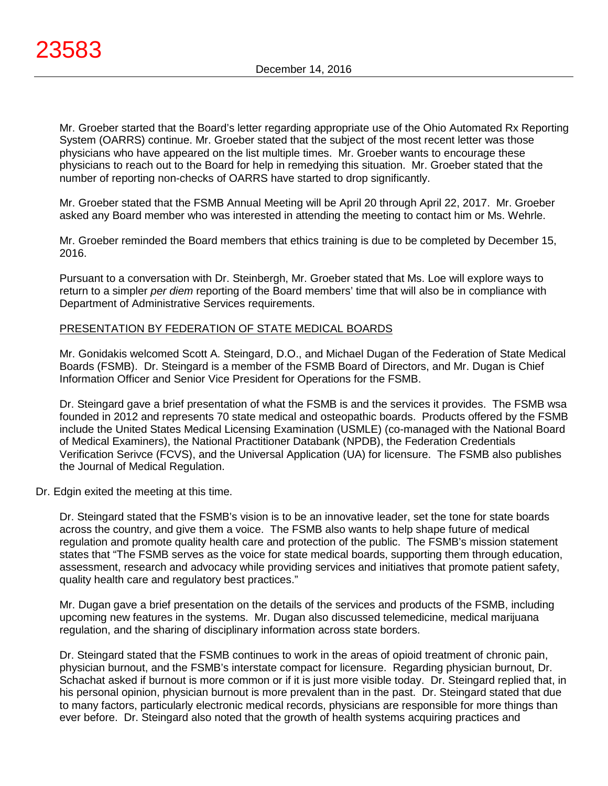Mr. Groeber started that the Board's letter regarding appropriate use of the Ohio Automated Rx Reporting System (OARRS) continue. Mr. Groeber stated that the subject of the most recent letter was those physicians who have appeared on the list multiple times. Mr. Groeber wants to encourage these physicians to reach out to the Board for help in remedying this situation. Mr. Groeber stated that the number of reporting non-checks of OARRS have started to drop significantly.

Mr. Groeber stated that the FSMB Annual Meeting will be April 20 through April 22, 2017. Mr. Groeber asked any Board member who was interested in attending the meeting to contact him or Ms. Wehrle.

Mr. Groeber reminded the Board members that ethics training is due to be completed by December 15, 2016.

Pursuant to a conversation with Dr. Steinbergh, Mr. Groeber stated that Ms. Loe will explore ways to return to a simpler *per diem* reporting of the Board members' time that will also be in compliance with Department of Administrative Services requirements.

## PRESENTATION BY FEDERATION OF STATE MEDICAL BOARDS

Mr. Gonidakis welcomed Scott A. Steingard, D.O., and Michael Dugan of the Federation of State Medical Boards (FSMB). Dr. Steingard is a member of the FSMB Board of Directors, and Mr. Dugan is Chief Information Officer and Senior Vice President for Operations for the FSMB.

Dr. Steingard gave a brief presentation of what the FSMB is and the services it provides. The FSMB wsa founded in 2012 and represents 70 state medical and osteopathic boards. Products offered by the FSMB include the United States Medical Licensing Examination (USMLE) (co-managed with the National Board of Medical Examiners), the National Practitioner Databank (NPDB), the Federation Credentials Verification Serivce (FCVS), and the Universal Application (UA) for licensure. The FSMB also publishes the Journal of Medical Regulation.

## Dr. Edgin exited the meeting at this time.

Dr. Steingard stated that the FSMB's vision is to be an innovative leader, set the tone for state boards across the country, and give them a voice. The FSMB also wants to help shape future of medical regulation and promote quality health care and protection of the public. The FSMB's mission statement states that "The FSMB serves as the voice for state medical boards, supporting them through education, assessment, research and advocacy while providing services and initiatives that promote patient safety, quality health care and regulatory best practices."

Mr. Dugan gave a brief presentation on the details of the services and products of the FSMB, including upcoming new features in the systems. Mr. Dugan also discussed telemedicine, medical marijuana regulation, and the sharing of disciplinary information across state borders.

Dr. Steingard stated that the FSMB continues to work in the areas of opioid treatment of chronic pain, physician burnout, and the FSMB's interstate compact for licensure. Regarding physician burnout, Dr. Schachat asked if burnout is more common or if it is just more visible today. Dr. Steingard replied that, in his personal opinion, physician burnout is more prevalent than in the past. Dr. Steingard stated that due to many factors, particularly electronic medical records, physicians are responsible for more things than ever before. Dr. Steingard also noted that the growth of health systems acquiring practices and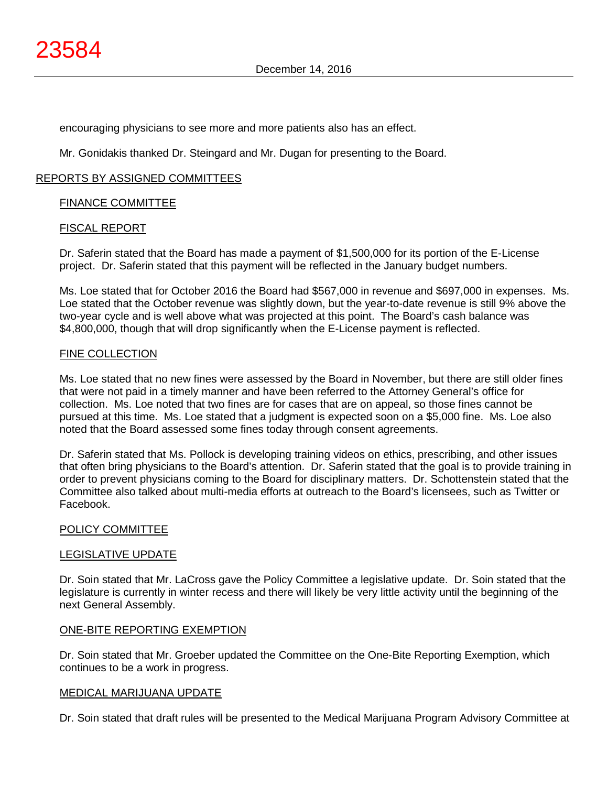encouraging physicians to see more and more patients also has an effect.

Mr. Gonidakis thanked Dr. Steingard and Mr. Dugan for presenting to the Board.

## REPORTS BY ASSIGNED COMMITTEES

## FINANCE COMMITTEE

## FISCAL REPORT

Dr. Saferin stated that the Board has made a payment of \$1,500,000 for its portion of the E-License project. Dr. Saferin stated that this payment will be reflected in the January budget numbers.

Ms. Loe stated that for October 2016 the Board had \$567,000 in revenue and \$697,000 in expenses. Ms. Loe stated that the October revenue was slightly down, but the year-to-date revenue is still 9% above the two-year cycle and is well above what was projected at this point. The Board's cash balance was \$4,800,000, though that will drop significantly when the E-License payment is reflected.

## FINE COLLECTION

Ms. Loe stated that no new fines were assessed by the Board in November, but there are still older fines that were not paid in a timely manner and have been referred to the Attorney General's office for collection. Ms. Loe noted that two fines are for cases that are on appeal, so those fines cannot be pursued at this time. Ms. Loe stated that a judgment is expected soon on a \$5,000 fine. Ms. Loe also noted that the Board assessed some fines today through consent agreements.

Dr. Saferin stated that Ms. Pollock is developing training videos on ethics, prescribing, and other issues that often bring physicians to the Board's attention. Dr. Saferin stated that the goal is to provide training in order to prevent physicians coming to the Board for disciplinary matters. Dr. Schottenstein stated that the Committee also talked about multi-media efforts at outreach to the Board's licensees, such as Twitter or Facebook.

# POLICY COMMITTEE

## LEGISLATIVE UPDATE

Dr. Soin stated that Mr. LaCross gave the Policy Committee a legislative update. Dr. Soin stated that the legislature is currently in winter recess and there will likely be very little activity until the beginning of the next General Assembly.

# ONE-BITE REPORTING EXEMPTION

Dr. Soin stated that Mr. Groeber updated the Committee on the One-Bite Reporting Exemption, which continues to be a work in progress.

## MEDICAL MARIJUANA UPDATE

Dr. Soin stated that draft rules will be presented to the Medical Marijuana Program Advisory Committee at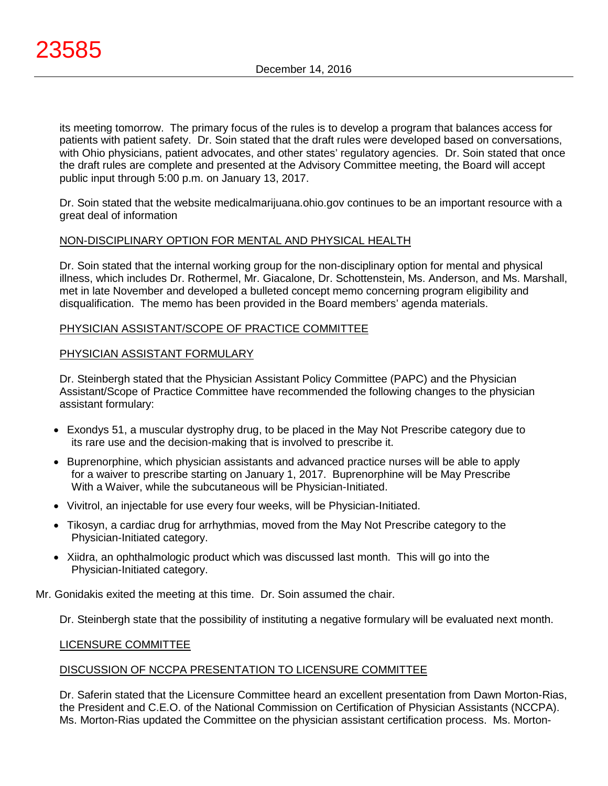its meeting tomorrow. The primary focus of the rules is to develop a program that balances access for patients with patient safety. Dr. Soin stated that the draft rules were developed based on conversations, with Ohio physicians, patient advocates, and other states' regulatory agencies. Dr. Soin stated that once the draft rules are complete and presented at the Advisory Committee meeting, the Board will accept public input through 5:00 p.m. on January 13, 2017.

Dr. Soin stated that the website medicalmarijuana.ohio.gov continues to be an important resource with a great deal of information

# NON-DISCIPLINARY OPTION FOR MENTAL AND PHYSICAL HEALTH

Dr. Soin stated that the internal working group for the non-disciplinary option for mental and physical illness, which includes Dr. Rothermel, Mr. Giacalone, Dr. Schottenstein, Ms. Anderson, and Ms. Marshall, met in late November and developed a bulleted concept memo concerning program eligibility and disqualification. The memo has been provided in the Board members' agenda materials.

## PHYSICIAN ASSISTANT/SCOPE OF PRACTICE COMMITTEE

## PHYSICIAN ASSISTANT FORMULARY

Dr. Steinbergh stated that the Physician Assistant Policy Committee (PAPC) and the Physician Assistant/Scope of Practice Committee have recommended the following changes to the physician assistant formulary:

- Exondys 51, a muscular dystrophy drug, to be placed in the May Not Prescribe category due to its rare use and the decision-making that is involved to prescribe it.
- Buprenorphine, which physician assistants and advanced practice nurses will be able to apply for a waiver to prescribe starting on January 1, 2017. Buprenorphine will be May Prescribe With a Waiver, while the subcutaneous will be Physician-Initiated.
- Vivitrol, an injectable for use every four weeks, will be Physician-Initiated.
- Tikosyn, a cardiac drug for arrhythmias, moved from the May Not Prescribe category to the Physician-Initiated category.
- Xiidra, an ophthalmologic product which was discussed last month. This will go into the Physician-Initiated category.

Mr. Gonidakis exited the meeting at this time. Dr. Soin assumed the chair.

Dr. Steinbergh state that the possibility of instituting a negative formulary will be evaluated next month.

## LICENSURE COMMITTEE

# DISCUSSION OF NCCPA PRESENTATION TO LICENSURE COMMITTEE

Dr. Saferin stated that the Licensure Committee heard an excellent presentation from Dawn Morton-Rias, the President and C.E.O. of the National Commission on Certification of Physician Assistants (NCCPA). Ms. Morton-Rias updated the Committee on the physician assistant certification process. Ms. Morton-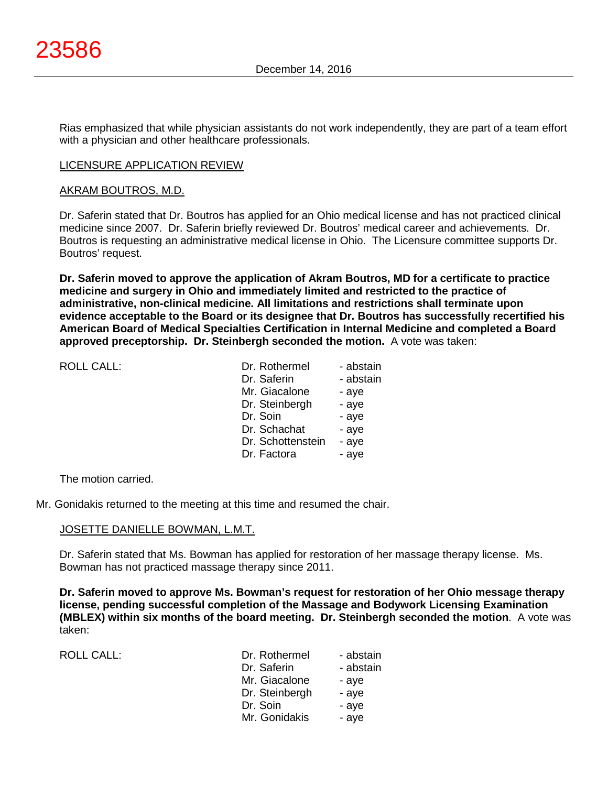Rias emphasized that while physician assistants do not work independently, they are part of a team effort with a physician and other healthcare professionals.

## LICENSURE APPLICATION REVIEW

## AKRAM BOUTROS, M.D.

Dr. Saferin stated that Dr. Boutros has applied for an Ohio medical license and has not practiced clinical medicine since 2007. Dr. Saferin briefly reviewed Dr. Boutros' medical career and achievements. Dr. Boutros is requesting an administrative medical license in Ohio. The Licensure committee supports Dr. Boutros' request.

**Dr. Saferin moved to approve the application of Akram Boutros, MD for a certificate to practice medicine and surgery in Ohio and immediately limited and restricted to the practice of administrative, non-clinical medicine. All limitations and restrictions shall terminate upon evidence acceptable to the Board or its designee that Dr. Boutros has successfully recertified his American Board of Medical Specialties Certification in Internal Medicine and completed a Board approved preceptorship. Dr. Steinbergh seconded the motion.** A vote was taken:

| <b>ROLL CALL:</b> | Dr. Rothermel     | - abstain |
|-------------------|-------------------|-----------|
|                   | Dr. Saferin       | - abstain |
|                   | Mr. Giacalone     | - aye     |
|                   | Dr. Steinbergh    | - aye     |
|                   | Dr. Soin          | - aye     |
|                   | Dr. Schachat      | - aye     |
|                   | Dr. Schottenstein | - aye     |
|                   | Dr. Factora       | - aye     |
|                   |                   |           |

The motion carried.

Mr. Gonidakis returned to the meeting at this time and resumed the chair.

## JOSETTE DANIELLE BOWMAN, L.M.T.

Dr. Saferin stated that Ms. Bowman has applied for restoration of her massage therapy license. Ms. Bowman has not practiced massage therapy since 2011.

**Dr. Saferin moved to approve Ms. Bowman's request for restoration of her Ohio message therapy license, pending successful completion of the Massage and Bodywork Licensing Examination (MBLEX) within six months of the board meeting. Dr. Steinbergh seconded the motion**. A vote was taken:

ROLL CALL:

| Dr. Rothermel  | - abstain |
|----------------|-----------|
| Dr. Saferin    | - abstain |
| Mr. Giacalone  | - aye     |
| Dr. Steinbergh | - aye     |
| Dr. Soin       | - aye     |
| Mr. Gonidakis  | - aye     |
|                |           |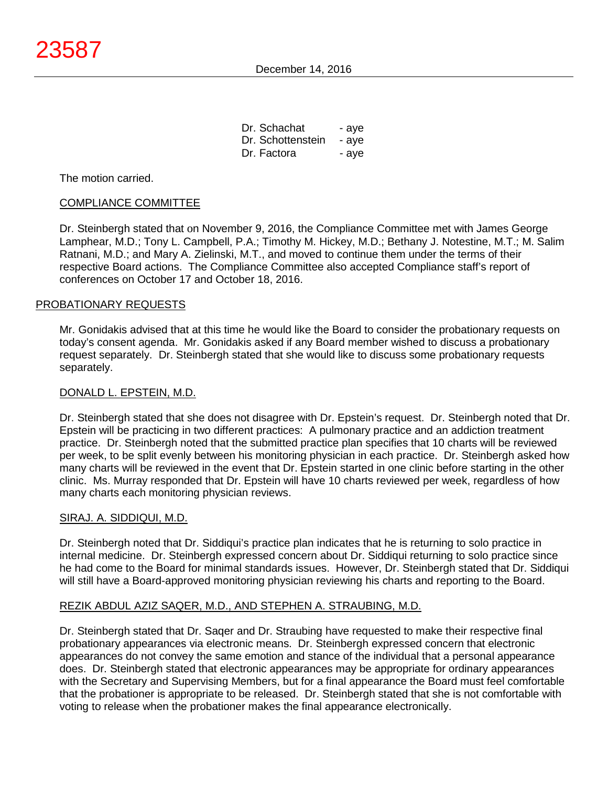| Dr. Schachat      | - aye |
|-------------------|-------|
| Dr. Schottenstein | - aye |
| Dr. Factora       | - aye |

The motion carried.

## COMPLIANCE COMMITTEE

Dr. Steinbergh stated that on November 9, 2016, the Compliance Committee met with James George Lamphear, M.D.; Tony L. Campbell, P.A.; Timothy M. Hickey, M.D.; Bethany J. Notestine, M.T.; M. Salim Ratnani, M.D.; and Mary A. Zielinski, M.T., and moved to continue them under the terms of their respective Board actions. The Compliance Committee also accepted Compliance staff's report of conferences on October 17 and October 18, 2016.

## PROBATIONARY REQUESTS

Mr. Gonidakis advised that at this time he would like the Board to consider the probationary requests on today's consent agenda. Mr. Gonidakis asked if any Board member wished to discuss a probationary request separately. Dr. Steinbergh stated that she would like to discuss some probationary requests separately.

## DONALD L. EPSTEIN, M.D.

Dr. Steinbergh stated that she does not disagree with Dr. Epstein's request. Dr. Steinbergh noted that Dr. Epstein will be practicing in two different practices: A pulmonary practice and an addiction treatment practice. Dr. Steinbergh noted that the submitted practice plan specifies that 10 charts will be reviewed per week, to be split evenly between his monitoring physician in each practice. Dr. Steinbergh asked how many charts will be reviewed in the event that Dr. Epstein started in one clinic before starting in the other clinic. Ms. Murray responded that Dr. Epstein will have 10 charts reviewed per week, regardless of how many charts each monitoring physician reviews.

## SIRAJ. A. SIDDIQUI, M.D.

Dr. Steinbergh noted that Dr. Siddiqui's practice plan indicates that he is returning to solo practice in internal medicine. Dr. Steinbergh expressed concern about Dr. Siddiqui returning to solo practice since he had come to the Board for minimal standards issues. However, Dr. Steinbergh stated that Dr. Siddiqui will still have a Board-approved monitoring physician reviewing his charts and reporting to the Board.

# REZIK ABDUL AZIZ SAQER, M.D., AND STEPHEN A. STRAUBING, M.D.

Dr. Steinbergh stated that Dr. Saqer and Dr. Straubing have requested to make their respective final probationary appearances via electronic means. Dr. Steinbergh expressed concern that electronic appearances do not convey the same emotion and stance of the individual that a personal appearance does. Dr. Steinbergh stated that electronic appearances may be appropriate for ordinary appearances with the Secretary and Supervising Members, but for a final appearance the Board must feel comfortable that the probationer is appropriate to be released. Dr. Steinbergh stated that she is not comfortable with voting to release when the probationer makes the final appearance electronically.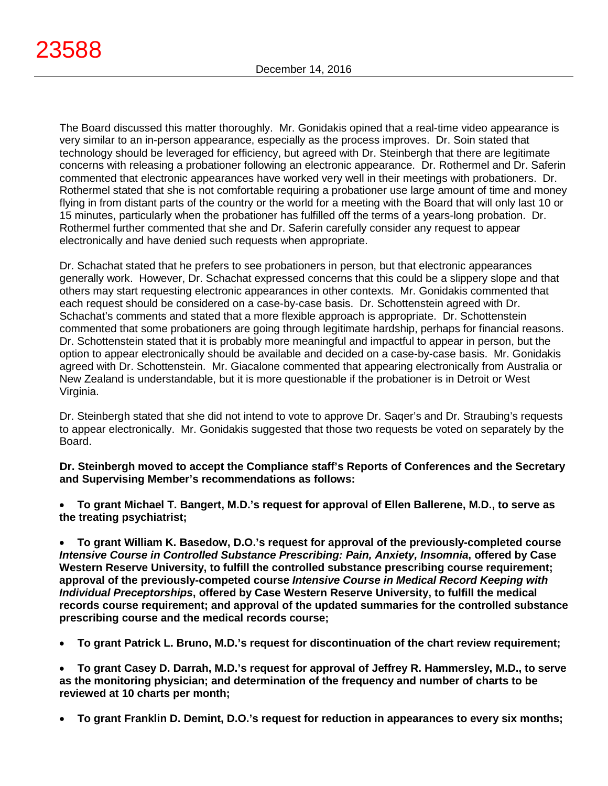The Board discussed this matter thoroughly. Mr. Gonidakis opined that a real-time video appearance is very similar to an in-person appearance, especially as the process improves. Dr. Soin stated that technology should be leveraged for efficiency, but agreed with Dr. Steinbergh that there are legitimate concerns with releasing a probationer following an electronic appearance. Dr. Rothermel and Dr. Saferin commented that electronic appearances have worked very well in their meetings with probationers. Dr. Rothermel stated that she is not comfortable requiring a probationer use large amount of time and money flying in from distant parts of the country or the world for a meeting with the Board that will only last 10 or 15 minutes, particularly when the probationer has fulfilled off the terms of a years-long probation. Dr. Rothermel further commented that she and Dr. Saferin carefully consider any request to appear electronically and have denied such requests when appropriate.

Dr. Schachat stated that he prefers to see probationers in person, but that electronic appearances generally work. However, Dr. Schachat expressed concerns that this could be a slippery slope and that others may start requesting electronic appearances in other contexts. Mr. Gonidakis commented that each request should be considered on a case-by-case basis. Dr. Schottenstein agreed with Dr. Schachat's comments and stated that a more flexible approach is appropriate. Dr. Schottenstein commented that some probationers are going through legitimate hardship, perhaps for financial reasons. Dr. Schottenstein stated that it is probably more meaningful and impactful to appear in person, but the option to appear electronically should be available and decided on a case-by-case basis. Mr. Gonidakis agreed with Dr. Schottenstein. Mr. Giacalone commented that appearing electronically from Australia or New Zealand is understandable, but it is more questionable if the probationer is in Detroit or West Virginia.

Dr. Steinbergh stated that she did not intend to vote to approve Dr. Saqer's and Dr. Straubing's requests to appear electronically. Mr. Gonidakis suggested that those two requests be voted on separately by the Board.

**Dr. Steinbergh moved to accept the Compliance staff's Reports of Conferences and the Secretary and Supervising Member's recommendations as follows:**

• **To grant Michael T. Bangert, M.D.'s request for approval of Ellen Ballerene, M.D., to serve as the treating psychiatrist;**

• **To grant William K. Basedow, D.O.'s request for approval of the previously-completed course**  *Intensive Course in Controlled Substance Prescribing: Pain, Anxiety, Insomnia***, offered by Case Western Reserve University, to fulfill the controlled substance prescribing course requirement; approval of the previously-competed course** *Intensive Course in Medical Record Keeping with Individual Preceptorships***, offered by Case Western Reserve University, to fulfill the medical records course requirement; and approval of the updated summaries for the controlled substance prescribing course and the medical records course;**

• **To grant Patrick L. Bruno, M.D.'s request for discontinuation of the chart review requirement;**

• **To grant Casey D. Darrah, M.D.'s request for approval of Jeffrey R. Hammersley, M.D., to serve as the monitoring physician; and determination of the frequency and number of charts to be reviewed at 10 charts per month;**

• **To grant Franklin D. Demint, D.O.'s request for reduction in appearances to every six months;**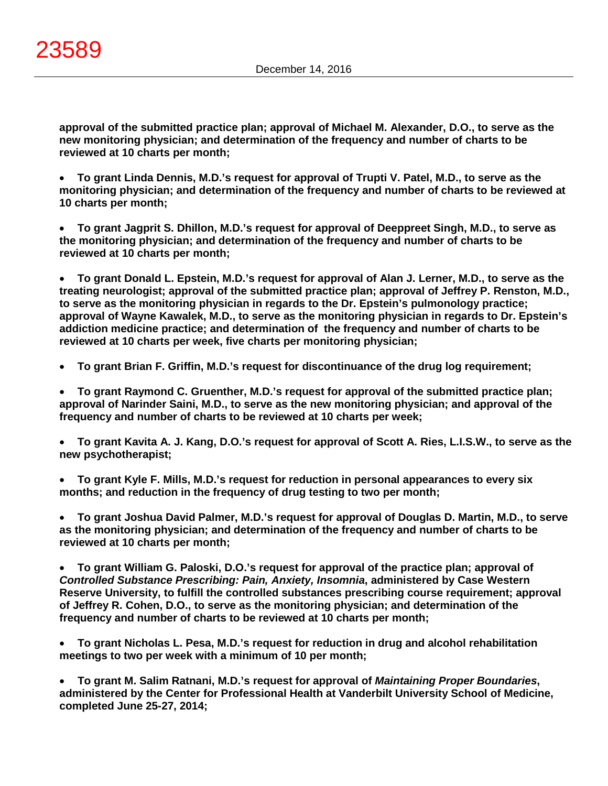**approval of the submitted practice plan; approval of Michael M. Alexander, D.O., to serve as the new monitoring physician; and determination of the frequency and number of charts to be reviewed at 10 charts per month;**

• **To grant Linda Dennis, M.D.'s request for approval of Trupti V. Patel, M.D., to serve as the monitoring physician; and determination of the frequency and number of charts to be reviewed at 10 charts per month;**

• **To grant Jagprit S. Dhillon, M.D.'s request for approval of Deeppreet Singh, M.D., to serve as the monitoring physician; and determination of the frequency and number of charts to be reviewed at 10 charts per month;**

• **To grant Donald L. Epstein, M.D.'s request for approval of Alan J. Lerner, M.D., to serve as the treating neurologist; approval of the submitted practice plan; approval of Jeffrey P. Renston, M.D., to serve as the monitoring physician in regards to the Dr. Epstein's pulmonology practice; approval of Wayne Kawalek, M.D., to serve as the monitoring physician in regards to Dr. Epstein's addiction medicine practice; and determination of the frequency and number of charts to be reviewed at 10 charts per week, five charts per monitoring physician;**

• **To grant Brian F. Griffin, M.D.'s request for discontinuance of the drug log requirement;**

• **To grant Raymond C. Gruenther, M.D.'s request for approval of the submitted practice plan; approval of Narinder Saini, M.D., to serve as the new monitoring physician; and approval of the frequency and number of charts to be reviewed at 10 charts per week;**

• **To grant Kavita A. J. Kang, D.O.'s request for approval of Scott A. Ries, L.I.S.W., to serve as the new psychotherapist;**

• **To grant Kyle F. Mills, M.D.'s request for reduction in personal appearances to every six months; and reduction in the frequency of drug testing to two per month;**

• **To grant Joshua David Palmer, M.D.'s request for approval of Douglas D. Martin, M.D., to serve as the monitoring physician; and determination of the frequency and number of charts to be reviewed at 10 charts per month;**

• **To grant William G. Paloski, D.O.'s request for approval of the practice plan; approval of**  *Controlled Substance Prescribing: Pain, Anxiety, Insomnia***, administered by Case Western Reserve University, to fulfill the controlled substances prescribing course requirement; approval of Jeffrey R. Cohen, D.O., to serve as the monitoring physician; and determination of the frequency and number of charts to be reviewed at 10 charts per month;**

• **To grant Nicholas L. Pesa, M.D.'s request for reduction in drug and alcohol rehabilitation meetings to two per week with a minimum of 10 per month;**

• **To grant M. Salim Ratnani, M.D.'s request for approval of** *Maintaining Proper Boundaries***, administered by the Center for Professional Health at Vanderbilt University School of Medicine, completed June 25-27, 2014;**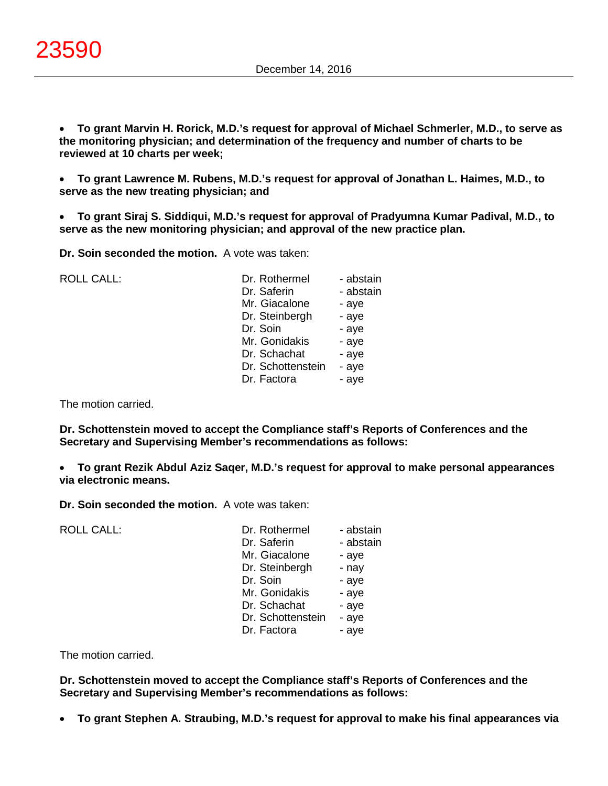• **To grant Marvin H. Rorick, M.D.'s request for approval of Michael Schmerler, M.D., to serve as the monitoring physician; and determination of the frequency and number of charts to be reviewed at 10 charts per week;**

• **To grant Lawrence M. Rubens, M.D.'s request for approval of Jonathan L. Haimes, M.D., to serve as the new treating physician; and**

• **To grant Siraj S. Siddiqui, M.D.'s request for approval of Pradyumna Kumar Padival, M.D., to serve as the new monitoring physician; and approval of the new practice plan.**

**Dr. Soin seconded the motion.** A vote was taken:

| <b>ROLL CALL:</b> | Dr. Rothermel     | - abstain |
|-------------------|-------------------|-----------|
|                   | Dr. Saferin       | - abstain |
|                   | Mr. Giacalone     | - aye     |
|                   | Dr. Steinbergh    | - aye     |
|                   | Dr. Soin          | - aye     |
|                   | Mr. Gonidakis     | - aye     |
|                   | Dr. Schachat      | - aye     |
|                   | Dr. Schottenstein | - aye     |
|                   | Dr. Factora       | - aye     |
|                   |                   |           |

The motion carried.

**Dr. Schottenstein moved to accept the Compliance staff's Reports of Conferences and the Secretary and Supervising Member's recommendations as follows:**

• **To grant Rezik Abdul Aziz Saqer, M.D.'s request for approval to make personal appearances via electronic means.**

**Dr. Soin seconded the motion.** A vote was taken:

| <b>ROLL CALL:</b> | Dr. Rothermel<br>Dr. Saferin<br>Mr. Giacalone<br>Dr. Steinbergh<br>Dr. Soin<br>Mr. Gonidakis<br>Dr. Schachat<br>Dr. Schottenstein | - abstain<br>- abstain<br>- aye<br>- nay<br>- aye<br>- aye<br>- aye<br>- aye |
|-------------------|-----------------------------------------------------------------------------------------------------------------------------------|------------------------------------------------------------------------------|
|                   | Dr. Factora                                                                                                                       | - aye                                                                        |

The motion carried.

**Dr. Schottenstein moved to accept the Compliance staff's Reports of Conferences and the Secretary and Supervising Member's recommendations as follows:**

• **To grant Stephen A. Straubing, M.D.'s request for approval to make his final appearances via**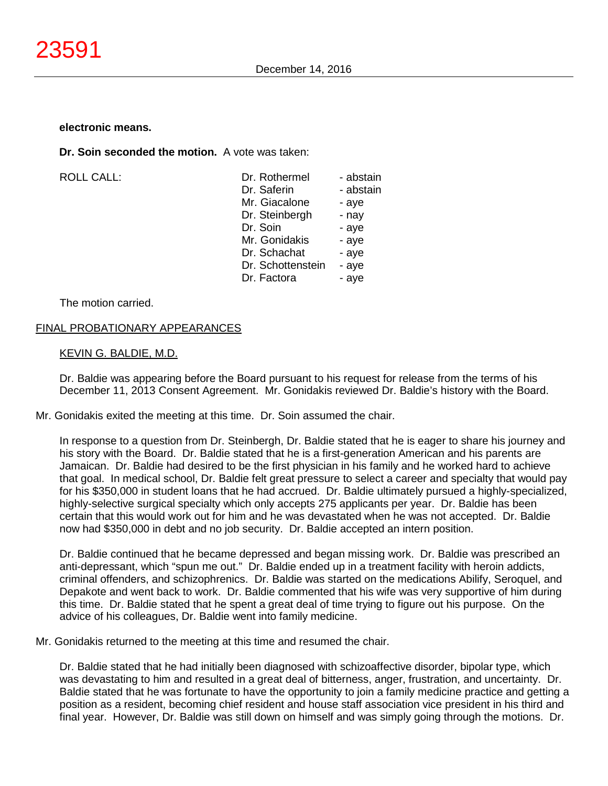#### **electronic means.**

**Dr. Soin seconded the motion.** A vote was taken:

 $ROILCAIL$ :

| Dr. Rothermel     | - abstain |
|-------------------|-----------|
| Dr. Saferin       | - abstain |
| Mr. Giacalone     | - aye     |
| Dr. Steinbergh    | - nay     |
| Dr. Soin          | - aye     |
| Mr. Gonidakis     | - aye     |
| Dr. Schachat      | - aye     |
| Dr. Schottenstein | - aye     |
| Dr. Factora       | - aye     |
|                   |           |

The motion carried.

## FINAL PROBATIONARY APPEARANCES

## KEVIN G. BALDIE, M.D.

Dr. Baldie was appearing before the Board pursuant to his request for release from the terms of his December 11, 2013 Consent Agreement. Mr. Gonidakis reviewed Dr. Baldie's history with the Board.

Mr. Gonidakis exited the meeting at this time. Dr. Soin assumed the chair.

In response to a question from Dr. Steinbergh, Dr. Baldie stated that he is eager to share his journey and his story with the Board. Dr. Baldie stated that he is a first-generation American and his parents are Jamaican. Dr. Baldie had desired to be the first physician in his family and he worked hard to achieve that goal. In medical school, Dr. Baldie felt great pressure to select a career and specialty that would pay for his \$350,000 in student loans that he had accrued. Dr. Baldie ultimately pursued a highly-specialized, highly-selective surgical specialty which only accepts 275 applicants per year. Dr. Baldie has been certain that this would work out for him and he was devastated when he was not accepted. Dr. Baldie now had \$350,000 in debt and no job security. Dr. Baldie accepted an intern position.

Dr. Baldie continued that he became depressed and began missing work. Dr. Baldie was prescribed an anti-depressant, which "spun me out." Dr. Baldie ended up in a treatment facility with heroin addicts, criminal offenders, and schizophrenics. Dr. Baldie was started on the medications Abilify, Seroquel, and Depakote and went back to work. Dr. Baldie commented that his wife was very supportive of him during this time. Dr. Baldie stated that he spent a great deal of time trying to figure out his purpose. On the advice of his colleagues, Dr. Baldie went into family medicine.

Mr. Gonidakis returned to the meeting at this time and resumed the chair.

Dr. Baldie stated that he had initially been diagnosed with schizoaffective disorder, bipolar type, which was devastating to him and resulted in a great deal of bitterness, anger, frustration, and uncertainty. Dr. Baldie stated that he was fortunate to have the opportunity to join a family medicine practice and getting a position as a resident, becoming chief resident and house staff association vice president in his third and final year. However, Dr. Baldie was still down on himself and was simply going through the motions. Dr.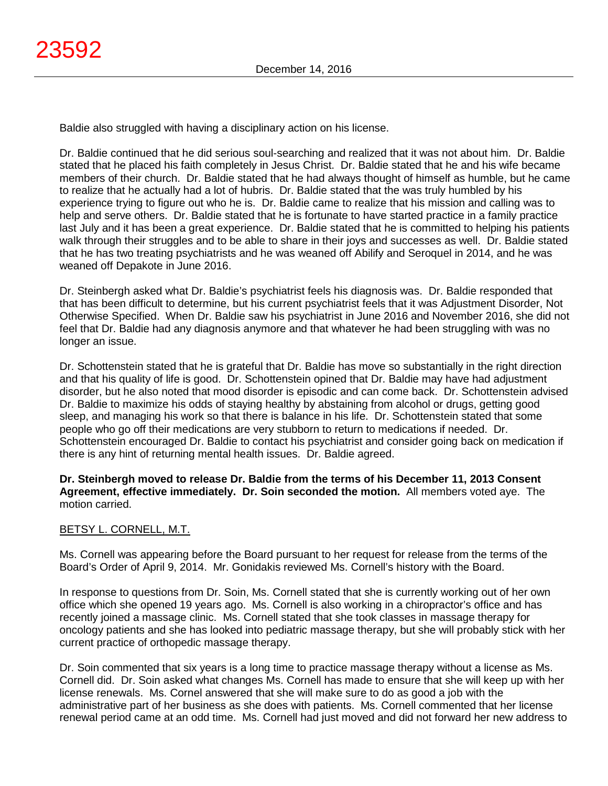Baldie also struggled with having a disciplinary action on his license.

Dr. Baldie continued that he did serious soul-searching and realized that it was not about him. Dr. Baldie stated that he placed his faith completely in Jesus Christ. Dr. Baldie stated that he and his wife became members of their church. Dr. Baldie stated that he had always thought of himself as humble, but he came to realize that he actually had a lot of hubris. Dr. Baldie stated that the was truly humbled by his experience trying to figure out who he is. Dr. Baldie came to realize that his mission and calling was to help and serve others. Dr. Baldie stated that he is fortunate to have started practice in a family practice last July and it has been a great experience. Dr. Baldie stated that he is committed to helping his patients walk through their struggles and to be able to share in their joys and successes as well. Dr. Baldie stated that he has two treating psychiatrists and he was weaned off Abilify and Seroquel in 2014, and he was weaned off Depakote in June 2016.

Dr. Steinbergh asked what Dr. Baldie's psychiatrist feels his diagnosis was. Dr. Baldie responded that that has been difficult to determine, but his current psychiatrist feels that it was Adjustment Disorder, Not Otherwise Specified. When Dr. Baldie saw his psychiatrist in June 2016 and November 2016, she did not feel that Dr. Baldie had any diagnosis anymore and that whatever he had been struggling with was no longer an issue.

Dr. Schottenstein stated that he is grateful that Dr. Baldie has move so substantially in the right direction and that his quality of life is good. Dr. Schottenstein opined that Dr. Baldie may have had adjustment disorder, but he also noted that mood disorder is episodic and can come back. Dr. Schottenstein advised Dr. Baldie to maximize his odds of staying healthy by abstaining from alcohol or drugs, getting good sleep, and managing his work so that there is balance in his life. Dr. Schottenstein stated that some people who go off their medications are very stubborn to return to medications if needed. Dr. Schottenstein encouraged Dr. Baldie to contact his psychiatrist and consider going back on medication if there is any hint of returning mental health issues. Dr. Baldie agreed.

**Dr. Steinbergh moved to release Dr. Baldie from the terms of his December 11, 2013 Consent Agreement, effective immediately. Dr. Soin seconded the motion.** All members voted aye. The motion carried.

# BETSY L. CORNELL, M.T.

Ms. Cornell was appearing before the Board pursuant to her request for release from the terms of the Board's Order of April 9, 2014. Mr. Gonidakis reviewed Ms. Cornell's history with the Board.

In response to questions from Dr. Soin, Ms. Cornell stated that she is currently working out of her own office which she opened 19 years ago. Ms. Cornell is also working in a chiropractor's office and has recently joined a massage clinic. Ms. Cornell stated that she took classes in massage therapy for oncology patients and she has looked into pediatric massage therapy, but she will probably stick with her current practice of orthopedic massage therapy.

Dr. Soin commented that six years is a long time to practice massage therapy without a license as Ms. Cornell did. Dr. Soin asked what changes Ms. Cornell has made to ensure that she will keep up with her license renewals. Ms. Cornel answered that she will make sure to do as good a job with the administrative part of her business as she does with patients. Ms. Cornell commented that her license renewal period came at an odd time. Ms. Cornell had just moved and did not forward her new address to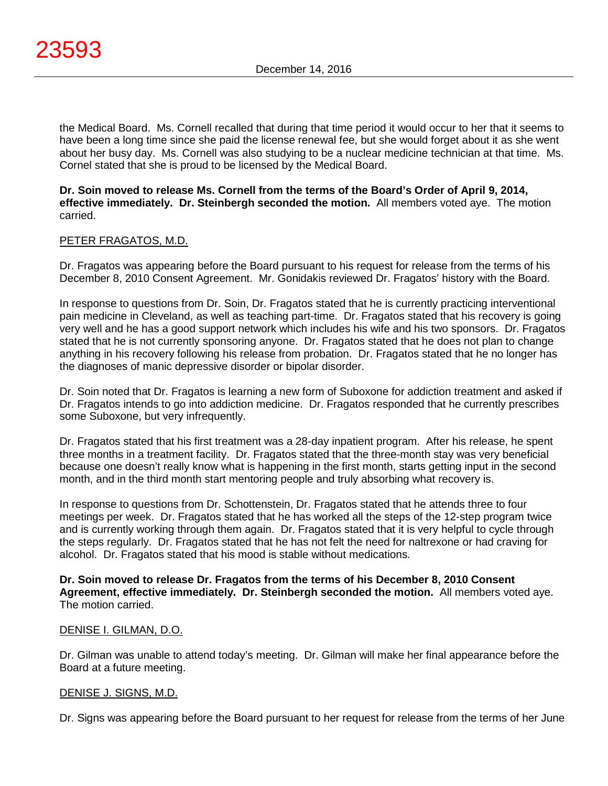the Medical Board. Ms. Cornell recalled that during that time period it would occur to her that it seems to have been a long time since she paid the license renewal fee, but she would forget about it as she went about her busy day. Ms. Cornell was also studying to be a nuclear medicine technician at that time. Ms. Cornel stated that she is proud to be licensed by the Medical Board.

## **Dr. Soin moved to release Ms. Cornell from the terms of the Board's Order of April 9, 2014, effective immediately. Dr. Steinbergh seconded the motion.** All members voted aye. The motion carried.

# PETER FRAGATOS, M.D.

Dr. Fragatos was appearing before the Board pursuant to his request for release from the terms of his December 8, 2010 Consent Agreement. Mr. Gonidakis reviewed Dr. Fragatos' history with the Board.

In response to questions from Dr. Soin, Dr. Fragatos stated that he is currently practicing interventional pain medicine in Cleveland, as well as teaching part-time. Dr. Fragatos stated that his recovery is going very well and he has a good support network which includes his wife and his two sponsors. Dr. Fragatos stated that he is not currently sponsoring anyone. Dr. Fragatos stated that he does not plan to change anything in his recovery following his release from probation. Dr. Fragatos stated that he no longer has the diagnoses of manic depressive disorder or bipolar disorder.

Dr. Soin noted that Dr. Fragatos is learning a new form of Suboxone for addiction treatment and asked if Dr. Fragatos intends to go into addiction medicine. Dr. Fragatos responded that he currently prescribes some Suboxone, but very infrequently.

Dr. Fragatos stated that his first treatment was a 28-day inpatient program. After his release, he spent three months in a treatment facility. Dr. Fragatos stated that the three-month stay was very beneficial because one doesn't really know what is happening in the first month, starts getting input in the second month, and in the third month start mentoring people and truly absorbing what recovery is.

In response to questions from Dr. Schottenstein, Dr. Fragatos stated that he attends three to four meetings per week. Dr. Fragatos stated that he has worked all the steps of the 12-step program twice and is currently working through them again. Dr. Fragatos stated that it is very helpful to cycle through the steps regularly. Dr. Fragatos stated that he has not felt the need for naltrexone or had craving for alcohol. Dr. Fragatos stated that his mood is stable without medications.

**Dr. Soin moved to release Dr. Fragatos from the terms of his December 8, 2010 Consent Agreement, effective immediately. Dr. Steinbergh seconded the motion.** All members voted aye. The motion carried.

## DENISE I. GILMAN, D.O.

Dr. Gilman was unable to attend today's meeting. Dr. Gilman will make her final appearance before the Board at a future meeting.

## DENISE J. SIGNS, M.D.

Dr. Signs was appearing before the Board pursuant to her request for release from the terms of her June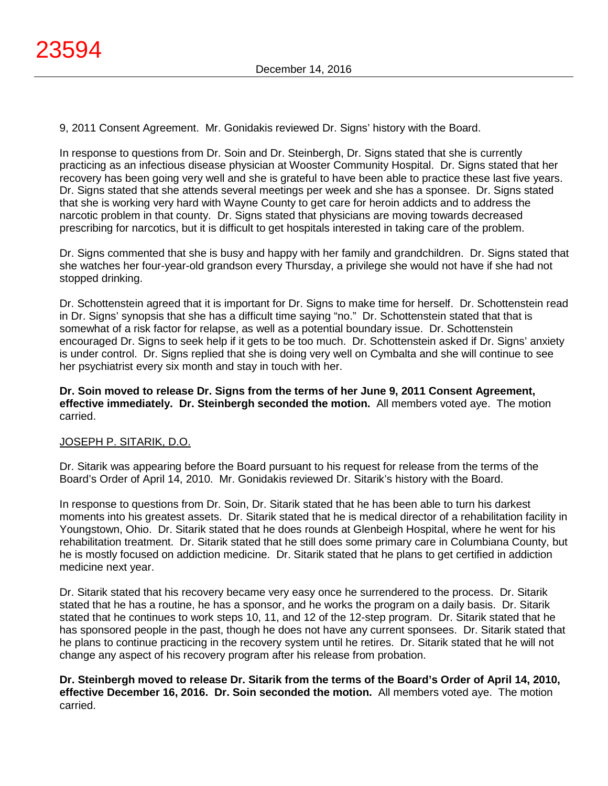9, 2011 Consent Agreement. Mr. Gonidakis reviewed Dr. Signs' history with the Board.

In response to questions from Dr. Soin and Dr. Steinbergh, Dr. Signs stated that she is currently practicing as an infectious disease physician at Wooster Community Hospital. Dr. Signs stated that her recovery has been going very well and she is grateful to have been able to practice these last five years. Dr. Signs stated that she attends several meetings per week and she has a sponsee. Dr. Signs stated that she is working very hard with Wayne County to get care for heroin addicts and to address the narcotic problem in that county. Dr. Signs stated that physicians are moving towards decreased prescribing for narcotics, but it is difficult to get hospitals interested in taking care of the problem.

Dr. Signs commented that she is busy and happy with her family and grandchildren. Dr. Signs stated that she watches her four-year-old grandson every Thursday, a privilege she would not have if she had not stopped drinking.

Dr. Schottenstein agreed that it is important for Dr. Signs to make time for herself. Dr. Schottenstein read in Dr. Signs' synopsis that she has a difficult time saying "no." Dr. Schottenstein stated that that is somewhat of a risk factor for relapse, as well as a potential boundary issue. Dr. Schottenstein encouraged Dr. Signs to seek help if it gets to be too much. Dr. Schottenstein asked if Dr. Signs' anxiety is under control. Dr. Signs replied that she is doing very well on Cymbalta and she will continue to see her psychiatrist every six month and stay in touch with her.

**Dr. Soin moved to release Dr. Signs from the terms of her June 9, 2011 Consent Agreement, effective immediately. Dr. Steinbergh seconded the motion.** All members voted aye. The motion carried.

# JOSEPH P. SITARIK, D.O.

Dr. Sitarik was appearing before the Board pursuant to his request for release from the terms of the Board's Order of April 14, 2010. Mr. Gonidakis reviewed Dr. Sitarik's history with the Board.

In response to questions from Dr. Soin, Dr. Sitarik stated that he has been able to turn his darkest moments into his greatest assets. Dr. Sitarik stated that he is medical director of a rehabilitation facility in Youngstown, Ohio. Dr. Sitarik stated that he does rounds at Glenbeigh Hospital, where he went for his rehabilitation treatment. Dr. Sitarik stated that he still does some primary care in Columbiana County, but he is mostly focused on addiction medicine. Dr. Sitarik stated that he plans to get certified in addiction medicine next year.

Dr. Sitarik stated that his recovery became very easy once he surrendered to the process. Dr. Sitarik stated that he has a routine, he has a sponsor, and he works the program on a daily basis. Dr. Sitarik stated that he continues to work steps 10, 11, and 12 of the 12-step program. Dr. Sitarik stated that he has sponsored people in the past, though he does not have any current sponsees. Dr. Sitarik stated that he plans to continue practicing in the recovery system until he retires. Dr. Sitarik stated that he will not change any aspect of his recovery program after his release from probation.

**Dr. Steinbergh moved to release Dr. Sitarik from the terms of the Board's Order of April 14, 2010, effective December 16, 2016. Dr. Soin seconded the motion.** All members voted aye. The motion carried.